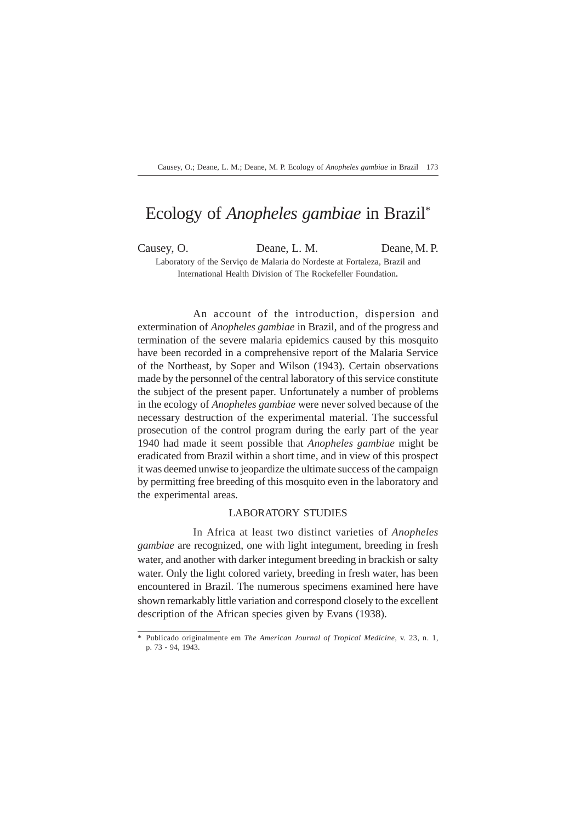# Ecology of *Anopheles gambiae* in Brazil\*

Causey, O. Deane, L. M. Deane, M. P. Laboratory of the Serviço de Malaria do Nordeste at Fortaleza, Brazil and International Health Division of The Rockefeller Foundation*.*

An account of the introduction, dispersion and extermination of *Anopheles gambiae* in Brazil, and of the progress and termination of the severe malaria epidemics caused by this mosquito have been recorded in a comprehensive report of the Malaria Service of the Northeast, by Soper and Wilson (1943). Certain observations made by the personnel of the central laboratory of this service constitute the subject of the present paper. Unfortunately a number of problems in the ecology of *Anopheles gambiae* were never solved because of the necessary destruction of the experimental material. The successful prosecution of the control program during the early part of the year 1940 had made it seem possible that *Anopheles gambiae* might be eradicated from Brazil within a short time, and in view of this prospect it was deemed unwise to jeopardize the ultimate success of the campaign by permitting free breeding of this mosquito even in the laboratory and the experimental areas.

#### LABORATORY STUDIES

In Africa at least two distinct varieties of *Anopheles gambiae* are recognized, one with light integument, breeding in fresh water, and another with darker integument breeding in brackish or salty water. Only the light colored variety, breeding in fresh water, has been encountered in Brazil. The numerous specimens examined here have shown remarkably little variation and correspond closely to the excellent description of the African species given by Evans (1938).

<sup>\*</sup> Publicado originalmente em *The American Journal of Tropical Medicine*, v. 23, n. 1, p. 73 - 94, 1943.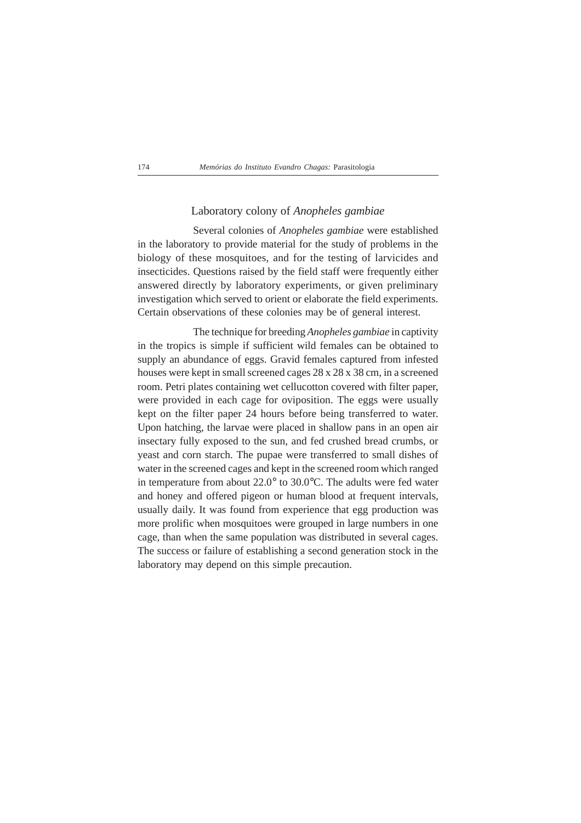## Laboratory colony of *Anopheles gambiae*

Several colonies of *Anopheles gambiae* were established in the laboratory to provide material for the study of problems in the biology of these mosquitoes, and for the testing of larvicides and insecticides. Questions raised by the field staff were frequently either answered directly by laboratory experiments, or given preliminary investigation which served to orient or elaborate the field experiments. Certain observations of these colonies may be of general interest.

The technique for breeding *Anopheles gambiae* in captivity in the tropics is simple if sufficient wild females can be obtained to supply an abundance of eggs. Gravid females captured from infested houses were kept in small screened cages 28 x 28 x 38 cm, in a screened room. Petri plates containing wet cellucotton covered with filter paper, were provided in each cage for oviposition. The eggs were usually kept on the filter paper 24 hours before being transferred to water. Upon hatching, the larvae were placed in shallow pans in an open air insectary fully exposed to the sun, and fed crushed bread crumbs, or yeast and corn starch. The pupae were transferred to small dishes of water in the screened cages and kept in the screened room which ranged in temperature from about 22.0° to 30.0°C. The adults were fed water and honey and offered pigeon or human blood at frequent intervals, usually daily. It was found from experience that egg production was more prolific when mosquitoes were grouped in large numbers in one cage, than when the same population was distributed in several cages. The success or failure of establishing a second generation stock in the laboratory may depend on this simple precaution.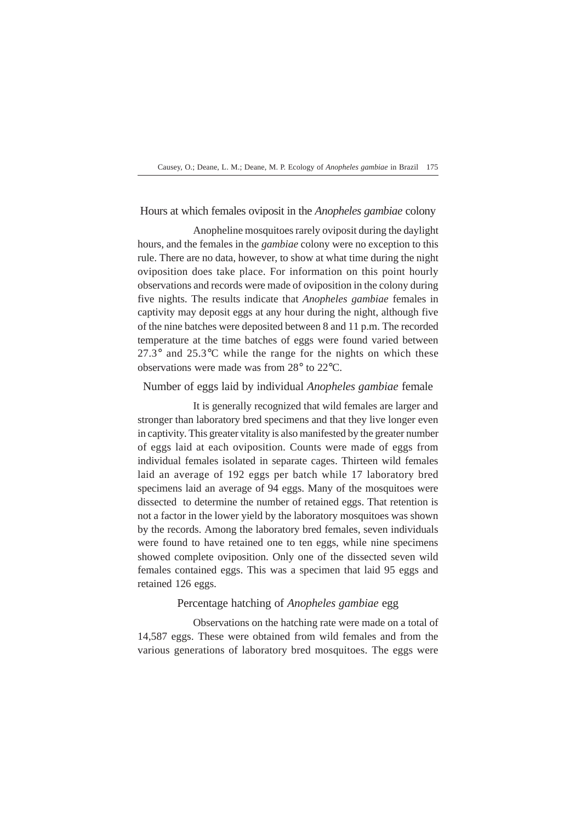## Hours at which females oviposit in the *Anopheles gambiae* colony

Anopheline mosquitoes rarely oviposit during the daylight hours, and the females in the *gambiae* colony were no exception to this rule. There are no data, however, to show at what time during the night oviposition does take place. For information on this point hourly observations and records were made of oviposition in the colony during five nights. The results indicate that *Anopheles gambiae* females in captivity may deposit eggs at any hour during the night, although five of the nine batches were deposited between 8 and 11 p.m. The recorded temperature at the time batches of eggs were found varied between  $27.3^\circ$  and  $25.3^\circ$ C while the range for the nights on which these observations were made was from 28° to 22°C.

## Number of eggs laid by individual *Anopheles gambiae* female

It is generally recognized that wild females are larger and stronger than laboratory bred specimens and that they live longer even in captivity. This greater vitality is also manifested by the greater number of eggs laid at each oviposition. Counts were made of eggs from individual females isolated in separate cages. Thirteen wild females laid an average of 192 eggs per batch while 17 laboratory bred specimens laid an average of 94 eggs. Many of the mosquitoes were dissected to determine the number of retained eggs. That retention is not a factor in the lower yield by the laboratory mosquitoes was shown by the records. Among the laboratory bred females, seven individuals were found to have retained one to ten eggs, while nine specimens showed complete oviposition. Only one of the dissected seven wild females contained eggs. This was a specimen that laid 95 eggs and retained 126 eggs.

## Percentage hatching of *Anopheles gambiae* egg

Observations on the hatching rate were made on a total of 14,587 eggs. These were obtained from wild females and from the various generations of laboratory bred mosquitoes. The eggs were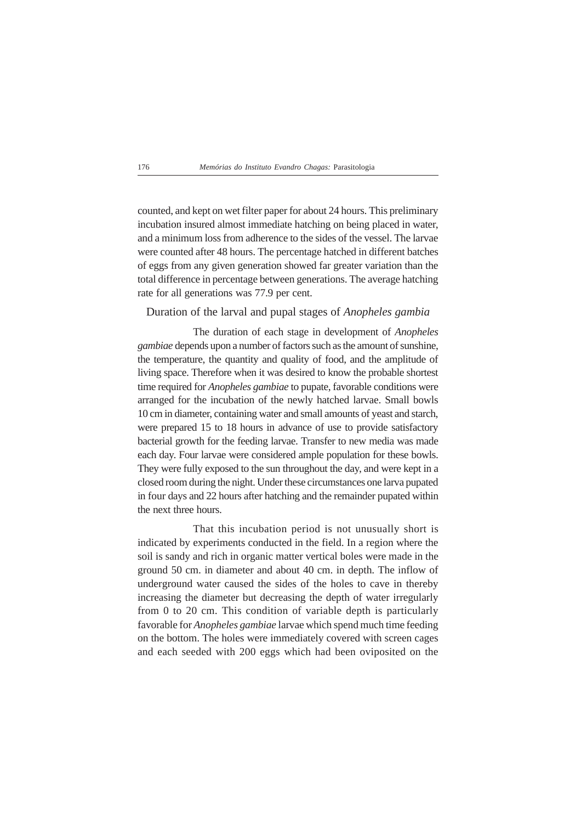counted, and kept on wet filter paper for about 24 hours. This preliminary incubation insured almost immediate hatching on being placed in water, and a minimum loss from adherence to the sides of the vessel. The larvae were counted after 48 hours. The percentage hatched in different batches of eggs from any given generation showed far greater variation than the total difference in percentage between generations. The average hatching rate for all generations was 77.9 per cent.

## Duration of the larval and pupal stages of *Anopheles gambia*

The duration of each stage in development of *Anopheles gambiae* depends upon a number of factors such as the amount of sunshine, the temperature, the quantity and quality of food, and the amplitude of living space. Therefore when it was desired to know the probable shortest time required for *Anopheles gambiae* to pupate, favorable conditions were arranged for the incubation of the newly hatched larvae. Small bowls 10 cm in diameter, containing water and small amounts of yeast and starch, were prepared 15 to 18 hours in advance of use to provide satisfactory bacterial growth for the feeding larvae. Transfer to new media was made each day. Four larvae were considered ample population for these bowls. They were fully exposed to the sun throughout the day, and were kept in a closed room during the night. Under these circumstances one larva pupated in four days and 22 hours after hatching and the remainder pupated within the next three hours.

That this incubation period is not unusually short is indicated by experiments conducted in the field. In a region where the soil is sandy and rich in organic matter vertical boles were made in the ground 50 cm. in diameter and about 40 cm. in depth. The inflow of underground water caused the sides of the holes to cave in thereby increasing the diameter but decreasing the depth of water irregularly from 0 to 20 cm. This condition of variable depth is particularly favorable for *Anopheles gambiae* larvae which spend much time feeding on the bottom. The holes were immediately covered with screen cages and each seeded with 200 eggs which had been oviposited on the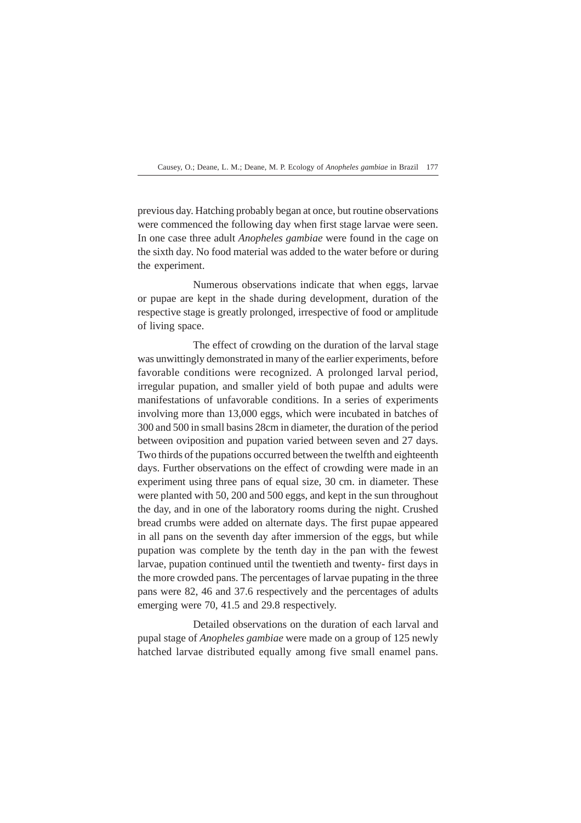previous day. Hatching probably began at once, but routine observations were commenced the following day when first stage larvae were seen. In one case three adult *Anopheles gambiae* were found in the cage on the sixth day. No food material was added to the water before or during the experiment.

Numerous observations indicate that when eggs, larvae or pupae are kept in the shade during development, duration of the respective stage is greatly prolonged, irrespective of food or amplitude of living space.

The effect of crowding on the duration of the larval stage was unwittingly demonstrated in many of the earlier experiments, before favorable conditions were recognized. A prolonged larval period, irregular pupation, and smaller yield of both pupae and adults were manifestations of unfavorable conditions. In a series of experiments involving more than 13,000 eggs, which were incubated in batches of 300 and 500 in small basins 28cm in diameter, the duration of the period between oviposition and pupation varied between seven and 27 days. Two thirds of the pupations occurred between the twelfth and eighteenth days. Further observations on the effect of crowding were made in an experiment using three pans of equal size, 30 cm. in diameter. These were planted with 50, 200 and 500 eggs, and kept in the sun throughout the day, and in one of the laboratory rooms during the night. Crushed bread crumbs were added on alternate days. The first pupae appeared in all pans on the seventh day after immersion of the eggs, but while pupation was complete by the tenth day in the pan with the fewest larvae, pupation continued until the twentieth and twenty- first days in the more crowded pans. The percentages of larvae pupating in the three pans were 82, 46 and 37.6 respectively and the percentages of adults emerging were 70, 41.5 and 29.8 respectively.

Detailed observations on the duration of each larval and pupal stage of *Anopheles gambiae* were made on a group of 125 newly hatched larvae distributed equally among five small enamel pans.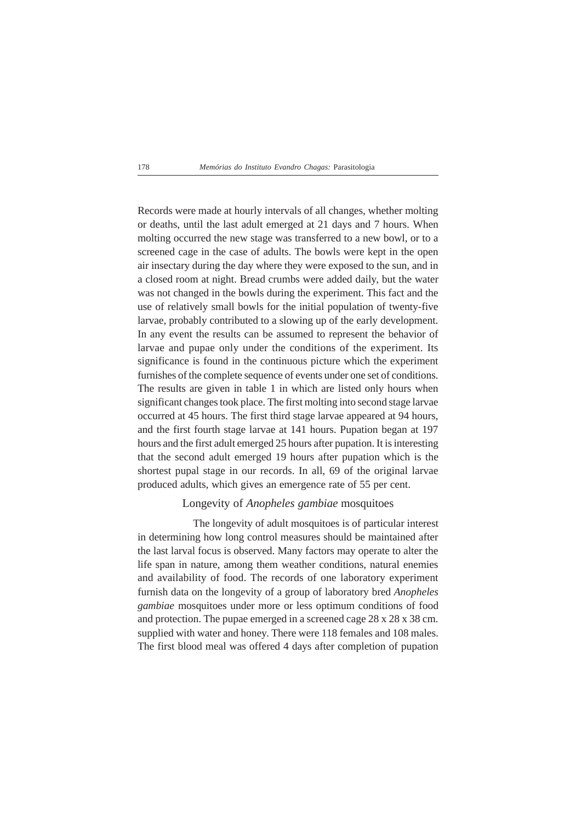Records were made at hourly intervals of all changes, whether molting or deaths, until the last adult emerged at 21 days and 7 hours. When molting occurred the new stage was transferred to a new bowl, or to a screened cage in the case of adults. The bowls were kept in the open air insectary during the day where they were exposed to the sun, and in a closed room at night. Bread crumbs were added daily, but the water was not changed in the bowls during the experiment. This fact and the use of relatively small bowls for the initial population of twenty-five larvae, probably contributed to a slowing up of the early development. In any event the results can be assumed to represent the behavior of larvae and pupae only under the conditions of the experiment. Its significance is found in the continuous picture which the experiment furnishes of the complete sequence of events under one set of conditions. The results are given in table 1 in which are listed only hours when significant changes took place. The first molting into second stage larvae occurred at 45 hours. The first third stage larvae appeared at 94 hours, and the first fourth stage larvae at 141 hours. Pupation began at 197 hours and the first adult emerged 25 hours after pupation. It is interesting that the second adult emerged 19 hours after pupation which is the shortest pupal stage in our records. In all, 69 of the original larvae produced adults, which gives an emergence rate of 55 per cent.

## Longevity of *Anopheles gambiae* mosquitoes

The longevity of adult mosquitoes is of particular interest in determining how long control measures should be maintained after the last larval focus is observed. Many factors may operate to alter the life span in nature, among them weather conditions, natural enemies and availability of food. The records of one laboratory experiment furnish data on the longevity of a group of laboratory bred *Anopheles gambiae* mosquitoes under more or less optimum conditions of food and protection. The pupae emerged in a screened cage 28 x 28 x 38 cm. supplied with water and honey. There were 118 females and 108 males. The first blood meal was offered 4 days after completion of pupation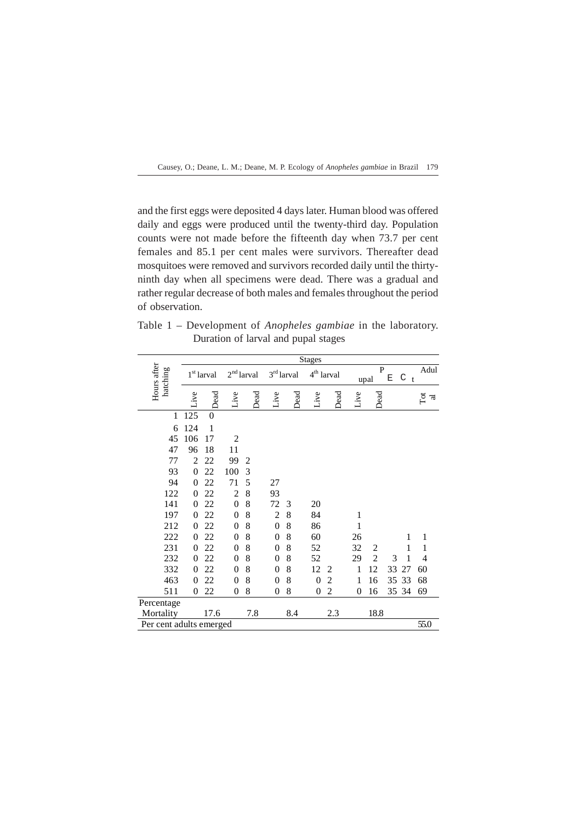and the first eggs were deposited 4 days later. Human blood was offered daily and eggs were produced until the twenty-third day. Population counts were not made before the fifteenth day when 73.7 per cent females and 85.1 per cent males were survivors. Thereafter dead mosquitoes were removed and survivors recorded daily until the thirtyninth day when all specimens were dead. There was a gradual and rather regular decrease of both males and females throughout the period of observation.

Table 1 – Development of *Anopheles gambiae* in the laboratory. Duration of larval and pupal stages

|                         |                |                        |                  |                     |                  |                     | <b>Stages</b>    |                     |                |                |    |                   |                |
|-------------------------|----------------|------------------------|------------------|---------------------|------------------|---------------------|------------------|---------------------|----------------|----------------|----|-------------------|----------------|
| Hours after<br>hatching |                | 1 <sup>st</sup> larval |                  | $2^{\rm nd}$ larval |                  | $3^{\rm rd}$ larval |                  | $4^{\rm th}$ larval |                | P<br>upal      | Ε  | C<br>$\mathbf{t}$ | Adul           |
|                         | Live           | Dead                   | Live             | Dead                | Live             | Dead                | Live             | Dead                | Live           | Dead           |    |                   | $\overline{a}$ |
| 1                       | 125            | $\theta$               |                  |                     |                  |                     |                  |                     |                |                |    |                   |                |
| 6                       | 124            | $\mathbf{1}$           |                  |                     |                  |                     |                  |                     |                |                |    |                   |                |
| 45                      | 106            | 17                     | $\overline{2}$   |                     |                  |                     |                  |                     |                |                |    |                   |                |
| 47                      | 96             | 18                     | 11               |                     |                  |                     |                  |                     |                |                |    |                   |                |
| 77                      | $\overline{2}$ | 22                     | 99               | $\overline{2}$      |                  |                     |                  |                     |                |                |    |                   |                |
| 93                      | $\mathbf{0}$   | 22                     | 100              | 3                   |                  |                     |                  |                     |                |                |    |                   |                |
| 94                      | $\theta$       | 22                     | 71               | 5                   | 27               |                     |                  |                     |                |                |    |                   |                |
| 122                     | $\overline{0}$ | 22                     | $\overline{c}$   | 8                   | 93               |                     |                  |                     |                |                |    |                   |                |
| 141                     | $\overline{0}$ | 22                     | $\overline{0}$   | 8                   | 72               | 3                   | 20               |                     |                |                |    |                   |                |
| 197                     | $\overline{0}$ | 22                     | $\overline{0}$   | 8                   | $\overline{2}$   | 8                   | 84               |                     | 1              |                |    |                   |                |
| 212                     | $\theta$       | 22                     | $\overline{0}$   | 8                   | $\boldsymbol{0}$ | 8                   | 86               |                     | 1              |                |    |                   |                |
| 222                     | $\overline{0}$ | 22                     | $\boldsymbol{0}$ | 8                   | $\boldsymbol{0}$ | 8                   | 60               |                     | 26             |                |    | 1                 | 1              |
| 231                     | $\overline{0}$ | 22                     | $\overline{0}$   | 8                   | $\overline{0}$   | 8                   | 52               |                     | 32             | $\overline{c}$ |    | 1                 | 1              |
| 232                     | $\theta$       | 22                     | $\overline{0}$   | 8                   | $\boldsymbol{0}$ | 8                   | 52               |                     | 29             | $\overline{2}$ | 3  | 1                 | 4              |
| 332                     | $\theta$       | 22                     | $\overline{0}$   | 8                   | $\overline{0}$   | 8                   | 12               | $\overline{c}$      | 1              | 12             | 33 | 27                | 60             |
| 463                     | $\overline{0}$ | 22                     | $\boldsymbol{0}$ | 8                   | $\boldsymbol{0}$ | 8                   | $\overline{0}$   | $\overline{2}$      | 1              | 16             | 35 | 33                | 68             |
| 511                     | $\overline{0}$ | 22                     | $\boldsymbol{0}$ | 8                   | $\boldsymbol{0}$ | 8                   | $\boldsymbol{0}$ | $\overline{c}$      | $\overline{0}$ | 16             |    | 35 34             | 69             |
| Percentage              |                |                        |                  |                     |                  |                     |                  |                     |                |                |    |                   |                |
| Mortality               |                | 17.6                   |                  | 7.8                 |                  | 8.4                 |                  | 2.3                 |                | 18.8           |    |                   |                |
| Per cent adults emerged |                |                        |                  |                     |                  |                     |                  |                     |                |                |    |                   | 55.0           |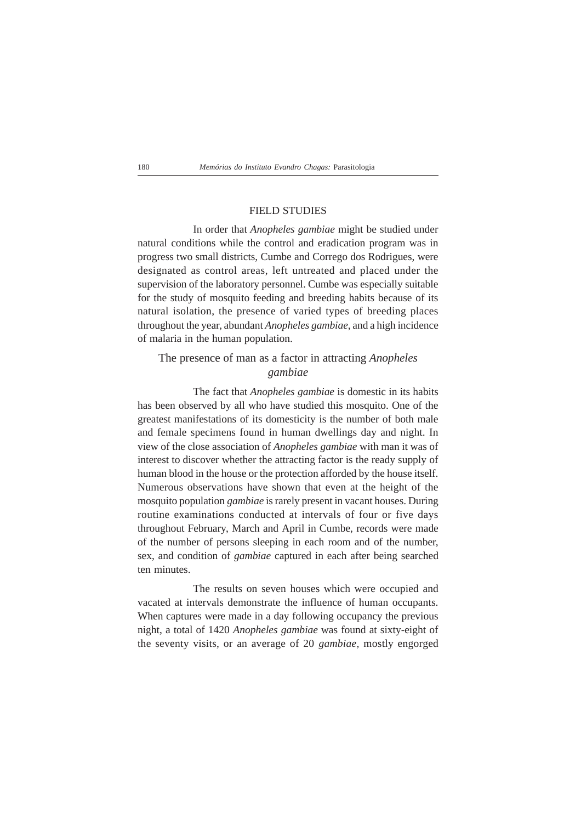## FIELD STUDIES

In order that *Anopheles gambiae* might be studied under natural conditions while the control and eradication program was in progress two small districts, Cumbe and Corrego dos Rodrigues, were designated as control areas, left untreated and placed under the supervision of the laboratory personnel. Cumbe was especially suitable for the study of mosquito feeding and breeding habits because of its natural isolation, the presence of varied types of breeding places throughout the year, abundant *Anopheles gambiae*, and a high incidence of malaria in the human population.

## The presence of man as a factor in attracting *Anopheles gambiae*

The fact that *Anopheles gambiae* is domestic in its habits has been observed by all who have studied this mosquito. One of the greatest manifestations of its domesticity is the number of both male and female specimens found in human dwellings day and night. In view of the close association of *Anopheles gambiae* with man it was of interest to discover whether the attracting factor is the ready supply of human blood in the house or the protection afforded by the house itself. Numerous observations have shown that even at the height of the mosquito population *gambiae* is rarely present in vacant houses. During routine examinations conducted at intervals of four or five days throughout February, March and April in Cumbe, records were made of the number of persons sleeping in each room and of the number, sex, and condition of *gambiae* captured in each after being searched ten minutes.

The results on seven houses which were occupied and vacated at intervals demonstrate the influence of human occupants. When captures were made in a day following occupancy the previous night, a total of 1420 *Anopheles gambiae* was found at sixty-eight of the seventy visits, or an average of 20 *gambiae,* mostly engorged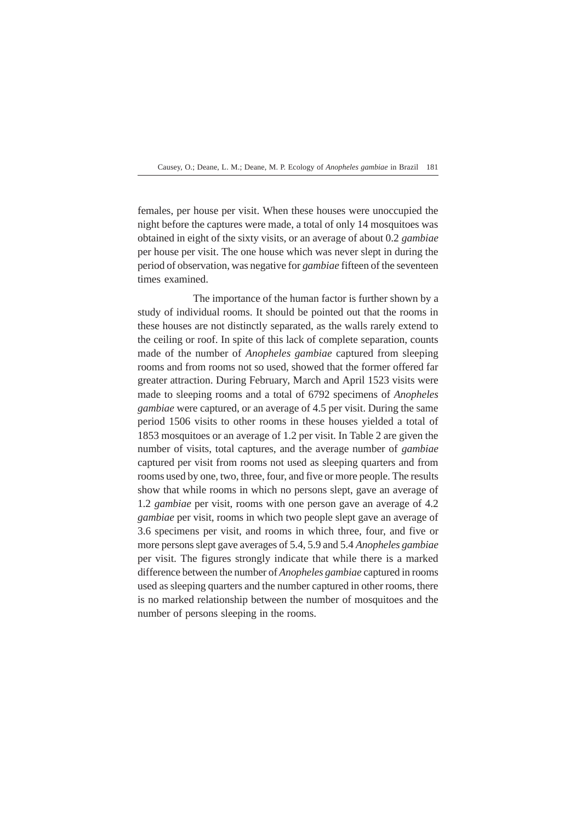females, per house per visit. When these houses were unoccupied the night before the captures were made, a total of only 14 mosquitoes was obtained in eight of the sixty visits, or an average of about 0.2 *gambiae* per house per visit. The one house which was never slept in during the period of observation, was negative for *gambiae* fifteen of the seventeen times examined.

The importance of the human factor is further shown by a study of individual rooms. It should be pointed out that the rooms in these houses are not distinctly separated, as the walls rarely extend to the ceiling or roof. In spite of this lack of complete separation, counts made of the number of *Anopheles gambiae* captured from sleeping rooms and from rooms not so used, showed that the former offered far greater attraction. During February, March and April 1523 visits were made to sleeping rooms and a total of 6792 specimens of *Anopheles gambiae* were captured, or an average of 4.5 per visit. During the same period 1506 visits to other rooms in these houses yielded a total of 1853 mosquitoes or an average of 1.2 per visit. In Table 2 are given the number of visits, total captures, and the average number of *gambiae* captured per visit from rooms not used as sleeping quarters and from rooms used by one, two, three, four, and five or more people. The results show that while rooms in which no persons slept, gave an average of 1.2 *gambiae* per visit, rooms with one person gave an average of 4.2 *gambiae* per visit, rooms in which two people slept gave an average of 3.6 specimens per visit, and rooms in which three, four, and five or more persons slept gave averages of 5.4, 5.9 and 5.4 *Anopheles gambiae* per visit. The figures strongly indicate that while there is a marked difference between the number of *Anopheles gambiae* captured in rooms used as sleeping quarters and the number captured in other rooms, there is no marked relationship between the number of mosquitoes and the number of persons sleeping in the rooms.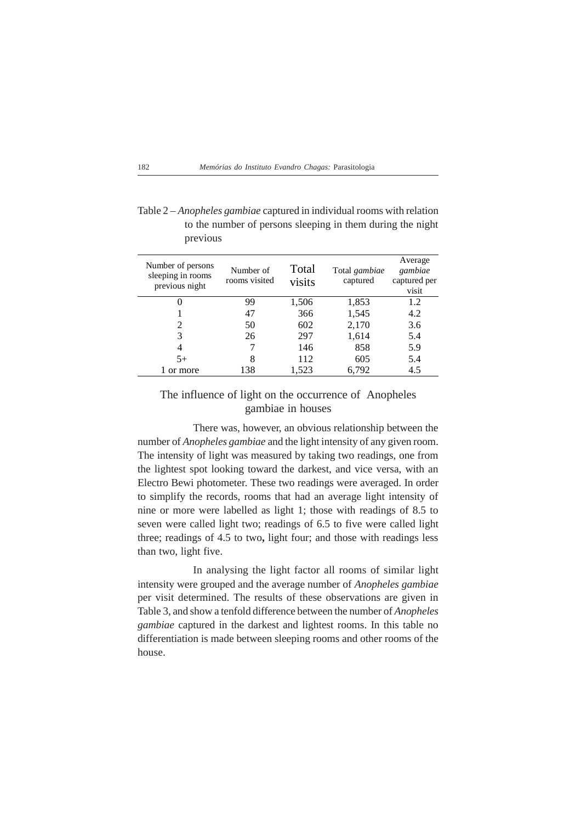Table 2 – *Anopheles gambiae* captured in individual rooms with relation to the number of persons sleeping in them during the night previous

| Number of persons<br>sleeping in rooms<br>previous night | Number of<br>rooms visited | Total<br>visits | Total gambiae<br>captured | Average<br>gambiae<br>captured per<br>visit |
|----------------------------------------------------------|----------------------------|-----------------|---------------------------|---------------------------------------------|
|                                                          | 99                         | 1,506           | 1,853                     | 1.2                                         |
|                                                          | 47                         | 366             | 1,545                     | 4.2                                         |
| 2                                                        | 50                         | 602             | 2,170                     | 3.6                                         |
| 3                                                        | 26                         | 297             | 1,614                     | 5.4                                         |
| 4                                                        |                            | 146             | 858                       | 5.9                                         |
| $5+$                                                     | 8                          | 112             | 605                       | 5.4                                         |
| or more                                                  | 138                        | 1,523           | 6,792                     | 4.5                                         |

## The influence of light on the occurrence of Anopheles gambiae in houses

There was, however, an obvious relationship between the number of *Anopheles gambiae* and the light intensity of any given room. The intensity of light was measured by taking two readings, one from the lightest spot looking toward the darkest, and vice versa, with an Electro Bewi photometer. These two readings were averaged. In order to simplify the records, rooms that had an average light intensity of nine or more were labelled as light 1; those with readings of 8.5 to seven were called light two; readings of 6.5 to five were called light three; readings of 4.5 to two**,** light four; and those with readings less than two, light five.

In analysing the light factor all rooms of similar light intensity were grouped and the average number of *Anopheles gambiae* per visit determined. The results of these observations are given in Table 3, and show a tenfold difference between the number of *Anopheles gambiae* captured in the darkest and lightest rooms. In this table no differentiation is made between sleeping rooms and other rooms of the house.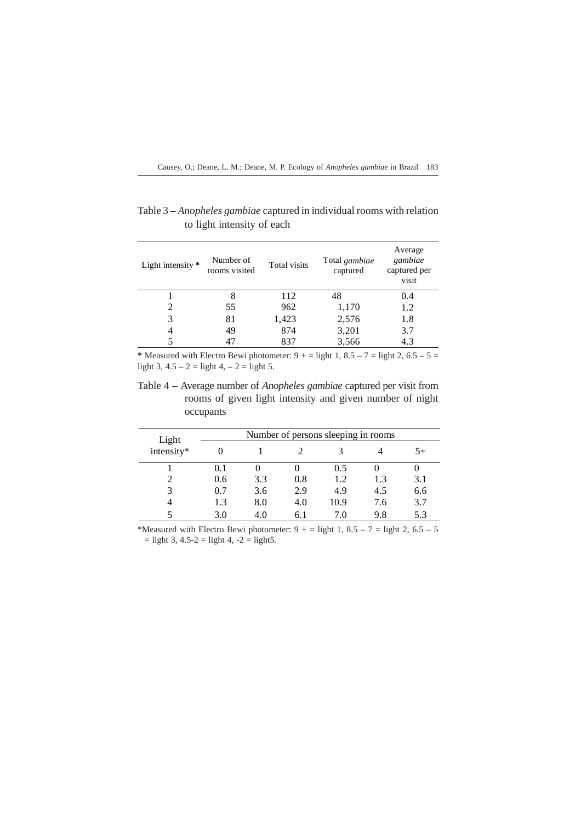Causey, O.; Deane, L. M.; Deane, M. P. Ecology of *Anopheles gambiae* in Brazil 183

| Light intensity $*$ | Number of<br>rooms visited | Total visits | Total gambiae<br>captured | Average<br>gambiae<br>captured per<br>visit |
|---------------------|----------------------------|--------------|---------------------------|---------------------------------------------|
|                     | 8                          | 112          | 48                        | 0.4                                         |
| 2                   | 55                         | 962          | 1,170                     | 1.2                                         |
| 3                   | 81                         | 1,423        | 2,576                     | 1.8                                         |
| 4                   | 49                         | 874          | 3,201                     | 3.7                                         |
|                     | 47                         | 837          | 3,566                     | 4.3                                         |

Table 3 – *Anopheles gambiae* captured in individual rooms with relation to light intensity of each

\* Measured with Electro Bewi photometer:  $9 + \frac{1}{2}$  light 1,  $8.5 - 7 =$  light 2,  $6.5 - 5 =$ light 3,  $4.5 - 2 =$  light 4,  $-2 =$  light 5.

Table 4 – Average number of *Anopheles gambiae* captured per visit from rooms of given light intensity and given number of night occupants

| Light      |     |     |     | Number of persons sleeping in rooms |     |      |
|------------|-----|-----|-----|-------------------------------------|-----|------|
| intensity* |     |     |     |                                     |     | $5+$ |
|            | 0.1 |     |     | 0.5                                 |     |      |
|            | 0.6 | 3.3 | 0.8 | 1.2                                 | 1.3 | 3.1  |
|            | 0.7 | 3.6 | 2.9 | 4.9                                 | 4.5 | 6.6  |
|            | 1.3 | 8.0 | 4.0 | 10.9                                | 7.6 | 3.7  |
|            | 3.0 | 4.0 | 6.1 | 7.0                                 | 9.8 | 5.3  |

\*Measured with Electro Bewi photometer:  $9 + 1$  = light 1, 8.5 – 7 = light 2, 6.5 – 5  $=$  light 3, 4.5-2  $=$  light 4, -2  $=$  light 5.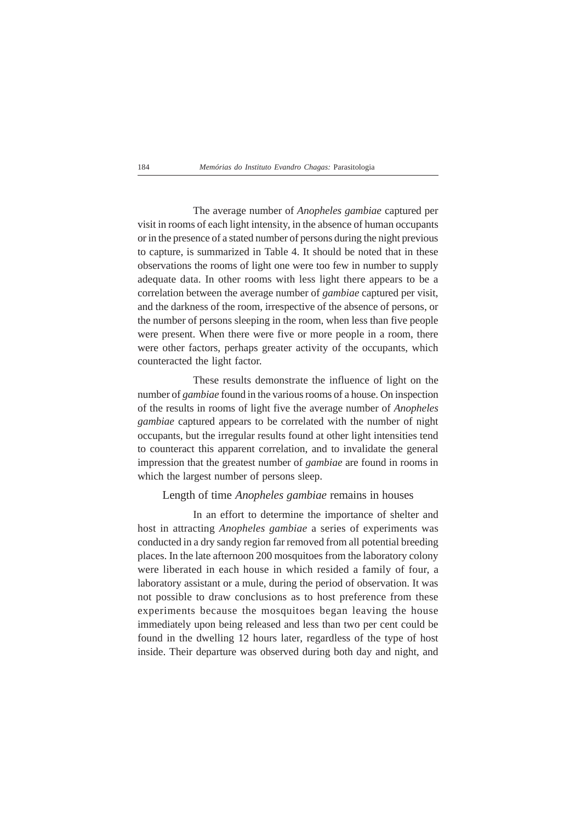The average number of *Anopheles gambiae* captured per visit in rooms of each light intensity, in the absence of human occupants or in the presence of a stated number of persons during the night previous to capture, is summarized in Table 4. It should be noted that in these observations the rooms of light one were too few in number to supply adequate data. In other rooms with less light there appears to be a correlation between the average number of *gambiae* captured per visit, and the darkness of the room, irrespective of the absence of persons, or the number of persons sleeping in the room, when less than five people were present. When there were five or more people in a room, there were other factors, perhaps greater activity of the occupants, which counteracted the light factor.

These results demonstrate the influence of light on the number of *gambiae* found in the various rooms of a house. On inspection of the results in rooms of light five the average number of *Anopheles gambiae* captured appears to be correlated with the number of night occupants, but the irregular results found at other light intensities tend to counteract this apparent correlation, and to invalidate the general impression that the greatest number of *gambiae* are found in rooms in which the largest number of persons sleep.

### Length of time *Anopheles gambiae* remains in houses

In an effort to determine the importance of shelter and host in attracting *Anopheles gambiae* a series of experiments was conducted in a dry sandy region far removed from all potential breeding places. In the late afternoon 200 mosquitoes from the laboratory colony were liberated in each house in which resided a family of four, a laboratory assistant or a mule, during the period of observation. It was not possible to draw conclusions as to host preference from these experiments because the mosquitoes began leaving the house immediately upon being released and less than two per cent could be found in the dwelling 12 hours later, regardless of the type of host inside. Their departure was observed during both day and night, and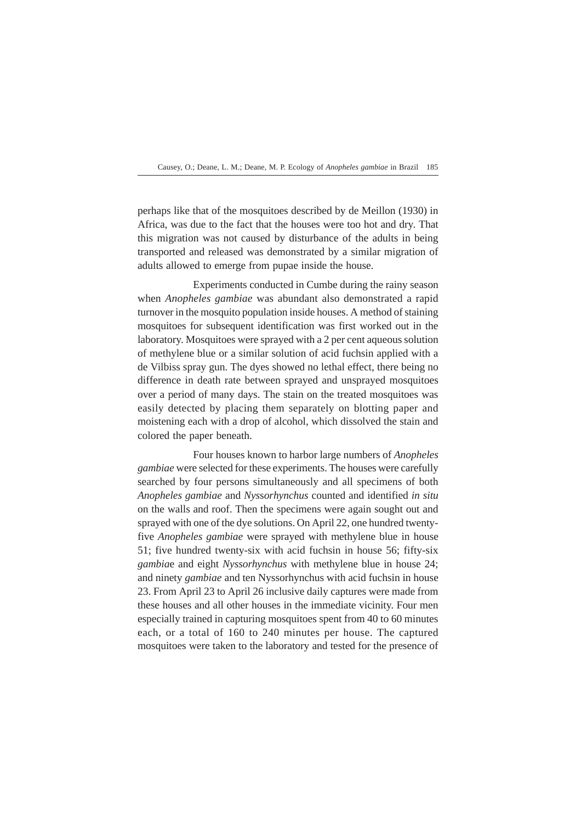perhaps like that of the mosquitoes described by de Meillon (1930) in Africa, was due to the fact that the houses were too hot and dry. That this migration was not caused by disturbance of the adults in being transported and released was demonstrated by a similar migration of adults allowed to emerge from pupae inside the house.

Experiments conducted in Cumbe during the rainy season when *Anopheles gambiae* was abundant also demonstrated a rapid turnover in the mosquito population inside houses. A method of staining mosquitoes for subsequent identification was first worked out in the laboratory. Mosquitoes were sprayed with a 2 per cent aqueous solution of methylene blue or a similar solution of acid fuchsin applied with a de Vilbiss spray gun. The dyes showed no lethal effect, there being no difference in death rate between sprayed and unsprayed mosquitoes over a period of many days. The stain on the treated mosquitoes was easily detected by placing them separately on blotting paper and moistening each with a drop of alcohol, which dissolved the stain and colored the paper beneath.

Four houses known to harbor large numbers of *Anopheles gambiae* were selected for these experiments. The houses were carefully searched by four persons simultaneously and all specimens of both *Anopheles gambiae* and *Nys*s*orhynchus* counted and identified *in situ* on the walls and roof. Then the specimens were again sought out and sprayed with one of the dye solutions. On April 22, one hundred twentyfive *Anopheles gambiae* were sprayed with methylene blue in house 51; five hundred twenty-six with acid fuchsin in house 56; fifty-six *gambia*e and eight *Nyssorhynchus* with methylene blue in house 24; and ninety *gambiae* and ten Nyssorhynchus with acid fuchsin in house 23. From April 23 to April 26 inclusive daily captures were made from these houses and all other houses in the immediate vicinity. Four men especially trained in capturing mosquitoes spent from 40 to 60 minutes each, or a total of 160 to 240 minutes per house. The captured mosquitoes were taken to the laboratory and tested for the presence of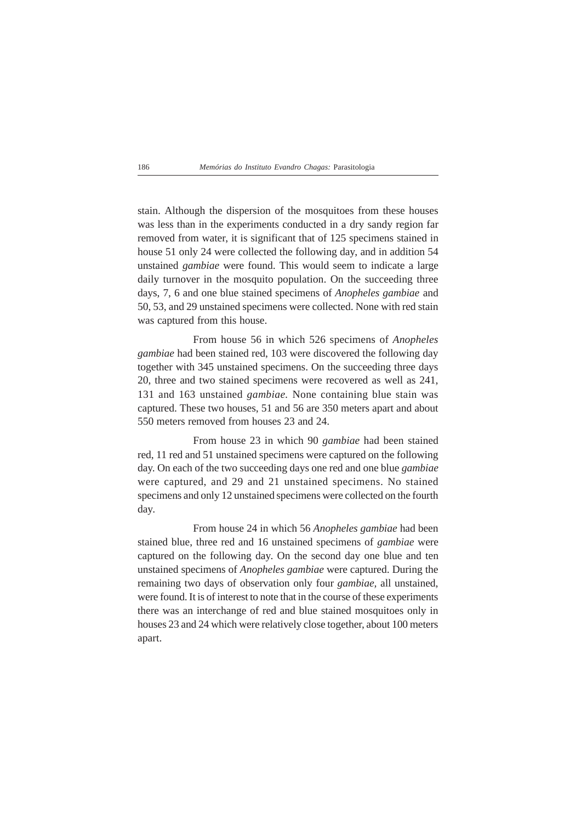stain. Although the dispersion of the mosquitoes from these houses was less than in the experiments conducted in a dry sandy region far removed from water, it is significant that of 125 specimens stained in house 51 only 24 were collected the following day, and in addition 54 unstained *gambiae* were found. This would seem to indicate a large daily turnover in the mosquito population. On the succeeding three days, 7, 6 and one blue stained specimens of *Anopheles gambiae* and 50, 53, and 29 unstained specimens were collected. None with red stain was captured from this house.

From house 56 in which 526 specimens of *Anopheles gambiae* had been stained red, 103 were discovered the following day together with 345 unstained specimens. On the succeeding three days 20, three and two stained specimens were recovered as well as 241, 131 and 163 unstained *gambiae.* None containing blue stain was captured. These two houses, 51 and 56 are 350 meters apart and about 550 meters removed from houses 23 and 24.

From house 23 in which 90 *gambiae* had been stained red, 11 red and 51 unstained specimens were captured on the following day. On each of the two succeeding days one red and one blue *gambiae* were captured, and 29 and 21 unstained specimens. No stained specimens and only 12 unstained specimens were collected on the fourth day.

From house 24 in which 56 *Anopheles gambiae* had been stained blue, three red and 16 unstained specimens of *gambiae* were captured on the following day. On the second day one blue and ten unstained specimens of *Anopheles gambiae* were captured. During the remaining two days of observation only four *gambiae,* all unstained, were found. It is of interest to note that in the course of these experiments there was an interchange of red and blue stained mosquitoes only in houses 23 and 24 which were relatively close together, about 100 meters apart.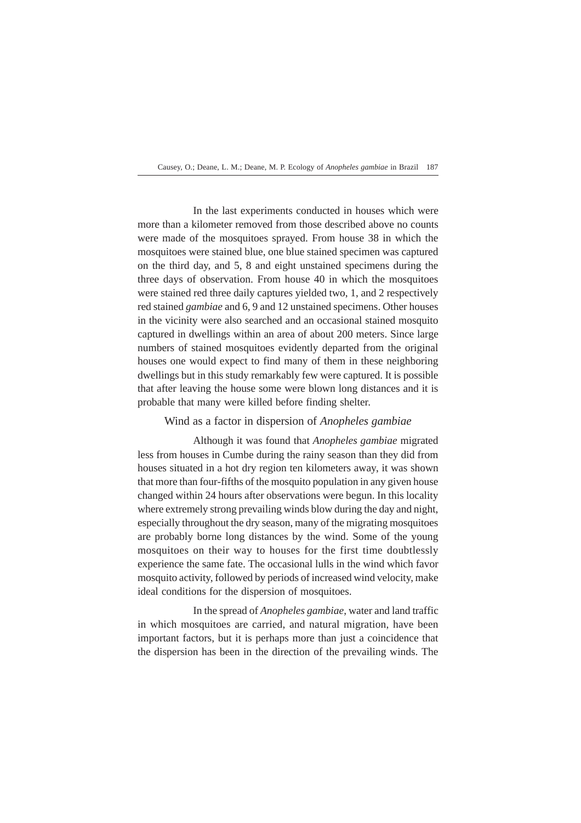In the last experiments conducted in houses which were more than a kilometer removed from those described above no counts were made of the mosquitoes sprayed. From house 38 in which the mosquitoes were stained blue, one blue stained specimen was captured on the third day, and 5, 8 and eight unstained specimens during the three days of observation. From house 40 in which the mosquitoes were stained red three daily captures yielded two, 1, and 2 respectively red stained *gambiae* and 6, 9 and 12 unstained specimens. Other houses in the vicinity were also searched and an occasional stained mosquito captured in dwellings within an area of about 200 meters. Since large numbers of stained mosquitoes evidently departed from the original houses one would expect to find many of them in these neighboring dwellings but in this study remarkably few were captured. It is possible that after leaving the house some were blown long distances and it is probable that many were killed before finding shelter.

## Wind as a factor in dispersion of *Anopheles gambiae*

Although it was found that *Anopheles gambiae* migrated less from houses in Cumbe during the rainy season than they did from houses situated in a hot dry region ten kilometers away, it was shown that more than four-fifths of the mosquito population in any given house changed within 24 hours after observations were begun. In this locality where extremely strong prevailing winds blow during the day and night, especially throughout the dry season, many of the migrating mosquitoes are probably borne long distances by the wind. Some of the young mosquitoes on their way to houses for the first time doubtlessly experience the same fate. The occasional lulls in the wind which favor mosquito activity, followed by periods of increased wind velocity, make ideal conditions for the dispersion of mosquitoes.

In the spread of *Anopheles gambiae*, water and land traffic in which mosquitoes are carried, and natural migration, have been important factors, but it is perhaps more than just a coincidence that the dispersion has been in the direction of the prevailing winds. The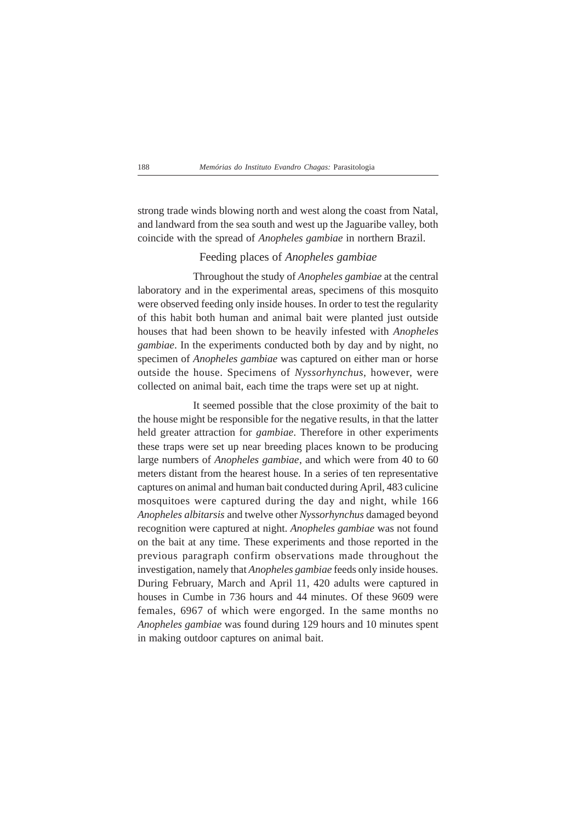strong trade winds blowing north and west along the coast from Natal, and landward from the sea south and west up the Jaguaribe valley, both coincide with the spread of *Anopheles gambiae* in northern Brazil.

## Feeding places of *Anopheles gambiae*

Throughout the study of *Anopheles gambiae* at the central laboratory and in the experimental areas, specimens of this mosquito were observed feeding only inside houses. In order to test the regularity of this habit both human and animal bait were planted just outside houses that had been shown to be heavily infested with *Anopheles gambiae*. In the experiments conducted both by day and by night, no specimen of *Anopheles gambiae* was captured on either man or horse outside the house. Specimens of *Nyssorhynchus*, however, were collected on animal bait, each time the traps were set up at night.

It seemed possible that the close proximity of the bait to the house might be responsible for the negative results, in that the latter held greater attraction for *gambiae*. Therefore in other experiments these traps were set up near breeding places known to be producing large numbers of *Anopheles gambiae*, and which were from 40 to 60 meters distant from the hearest house. In a series of ten representative captures on animal and human bait conducted during April, 483 culicine mosquitoes were captured during the day and night, while 166 *Anopheles albitarsis* and twelve other *Nyssorhynchus* damaged beyond recognition were captured at night. *Anopheles gambiae* was not found on the bait at any time. These experiments and those reported in the previous paragraph confirm observations made throughout the investigation, namely that *Anopheles gambiae* feeds only inside houses. During February, March and April 11, 420 adults were captured in houses in Cumbe in 736 hours and 44 minutes. Of these 9609 were females, 6967 of which were engorged. In the same months no *Anopheles gambiae* was found during 129 hours and 10 minutes spent in making outdoor captures on animal bait.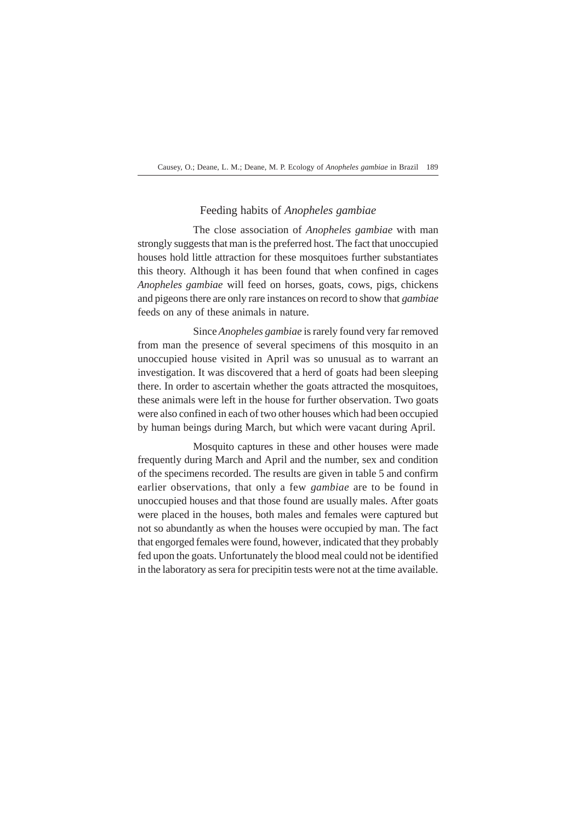## Feeding habits of *Anopheles gambiae*

The close association of *Anopheles gambiae* with man strongly suggests that man is the preferred host. The fact that unoccupied houses hold little attraction for these mosquitoes further substantiates this theory. Although it has been found that when confined in cages *Anopheles gambiae* will feed on horses, goats, cows, pigs, chickens and pigeons there are only rare instances on record to show that *gambiae* feeds on any of these animals in nature.

Since *Anopheles gambiae* is rarely found very far removed from man the presence of several specimens of this mosquito in an unoccupied house visited in April was so unusual as to warrant an investigation. It was discovered that a herd of goats had been sleeping there. In order to ascertain whether the goats attracted the mosquitoes, these animals were left in the house for further observation. Two goats were also confined in each of two other houses which had been occupied by human beings during March, but which were vacant during April.

Mosquito captures in these and other houses were made frequently during March and April and the number, sex and condition of the specimens recorded. The results are given in table 5 and confirm earlier observations, that only a few *gambiae* are to be found in unoccupied houses and that those found are usually males. After goats were placed in the houses, both males and females were captured but not so abundantly as when the houses were occupied by man. The fact that engorged females were found, however, indicated that they probably fed upon the goats. Unfortunately the blood meal could not be identified in the laboratory as sera for precipitin tests were not at the time available.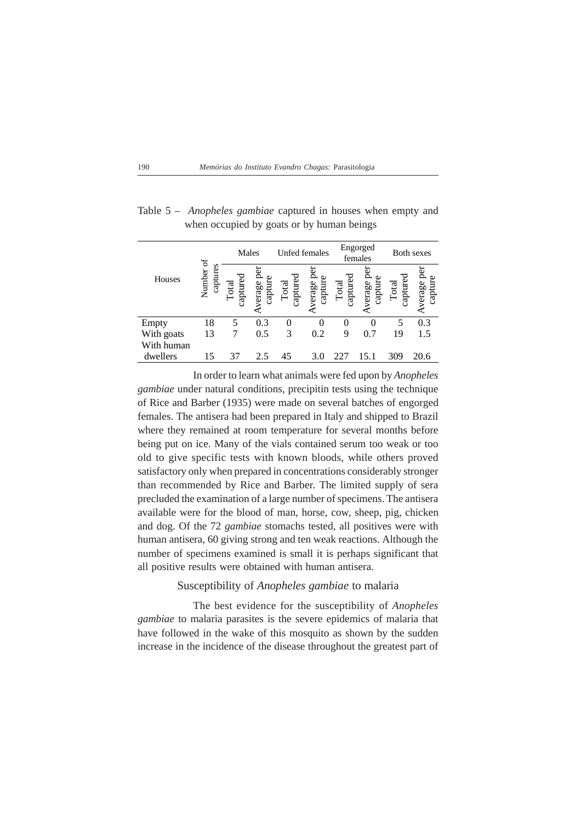|            | ð                  | Males                  |                            | <b>Unfed females</b> |                        |                           | Engorged<br>females   |                   | <b>Both sexes</b>                             |
|------------|--------------------|------------------------|----------------------------|----------------------|------------------------|---------------------------|-----------------------|-------------------|-----------------------------------------------|
| Houses     | captures<br>Number | capture<br>$\rm Total$ | ဦ<br>O<br>verage<br>captur | captured<br>Total    | ಶಿ<br>verage<br>captuı | captured<br>$\Gamma$ otal | Le<br>verage<br>captu | captured<br>Total | B<br>erage<br>$\mathop{\rm cap}\nolimits$ tur |
| Empty      | 18                 | 5                      | 0.3                        |                      |                        |                           |                       |                   | 0.3                                           |
| With goats | 13                 |                        | 0.5                        | 3                    | 0.2                    | 9                         | 0.7                   | 19                | 1.5                                           |
| With human |                    |                        |                            |                      |                        |                           |                       |                   |                                               |
| dwellers   | 15                 | 37                     | 2.5                        | 45                   | 3.0                    |                           |                       | 309               | 20.6                                          |

Table 5 – *Anopheles gambiae* captured in houses when empty and when occupied by goats or by human beings

In order to learn what animals were fed upon by *Anopheles gambiae* under natural conditions, precipitin tests using the technique of Rice and Barber (1935) were made on several batches of engorged females. The antisera had been prepared in Italy and shipped to Brazil where they remained at room temperature for several months before being put on ice. Many of the vials contained serum too weak or too old to give specific tests with known bloods, while others proved satisfactory only when prepared in concentrations considerably stronger than recommended by Rice and Barber. The limited supply of sera precluded the examination of a large number of specimens. The antisera available were for the blood of man, horse, cow, sheep, pig, chicken and dog. Of the 72 *gambiae* stomachs tested, all positives were with human antisera, 60 giving strong and ten weak reactions. Although the number of specimens examined is small it is perhaps significant that all positive results were obtained with human antisera.

## Susceptibility of *Anopheles gambiae* to malaria

The best evidence for the susceptibility of *Anopheles gambiae* to malaria parasites is the severe epidemics of malaria that have followed in the wake of this mosquito as shown by the sudden increase in the incidence of the disease throughout the greatest part of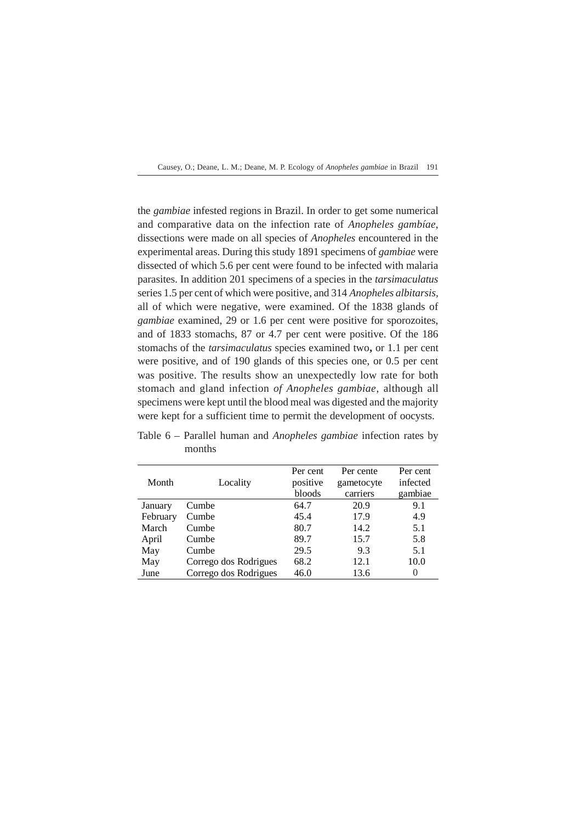the *gambiae* infested regions in Brazil. In order to get some numerical and comparative data on the infection rate of *Anopheles gambíae*, dissections were made on all species of *Anopheles* encountered in the experimental areas. During this study 1891 specimens of *gambiae* were dissected of which 5.6 per cent were found to be infected with malaria parasites. In addition 201 specimens of a species in the *tarsimaculatus* series 1.5 per cent of which were positive, and 314 *Anopheles albitarsis,* all of which were negative, were examined. Of the 1838 glands of *gambiae* examined, 29 or 1.6 per cent were positive for sporozoites, and of 1833 stomachs, 87 or 4.7 per cent were positive. Of the 186 stomachs of the *tarsimaculatus* species examined two**,** or 1.1 per cent were positive, and of 190 glands of this species one, or 0.5 per cent was positive. The results show an unexpectedly low rate for both stomach and gland infection *of Anopheles gambiae*, although all specimens were kept until the blood meal was digested and the majority were kept for a sufficient time to permit the development of oocysts.

| Month    | Locality              | Per cent<br>positive<br>bloods | Per cente<br>gametocyte<br>carriers | Per cent<br>infected<br>gambiae |
|----------|-----------------------|--------------------------------|-------------------------------------|---------------------------------|
| January  | Cumbe                 | 64.7                           | 20.9                                | 9.1                             |
| February | Cumbe                 | 45.4                           | 17.9                                | 4.9                             |
| March    | Cumbe                 | 80.7                           | 14.2                                | 5.1                             |
| April    | Cumbe                 | 89.7                           | 15.7                                | 5.8                             |
| May      | Cumbe                 | 29.5                           | 9.3                                 | 5.1                             |
| May      | Corrego dos Rodrigues | 68.2                           | 12.1                                | 10.0                            |
| June     | Corrego dos Rodrigues | 46.0                           | 13.6                                | 0                               |

Table 6 – Parallel human and *Anopheles gambiae* infection rates by months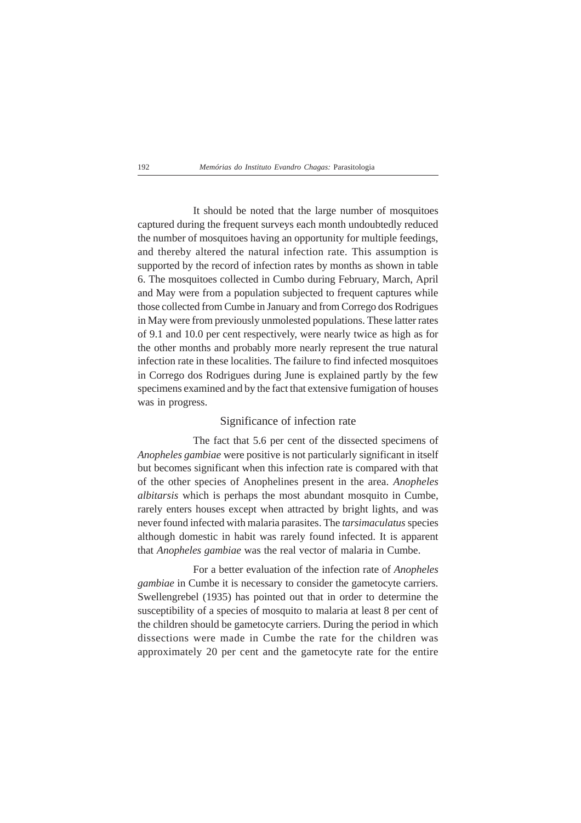It should be noted that the large number of mosquitoes captured during the frequent surveys each month undoubtedly reduced the number of mosquitoes having an opportunity for multiple feedings, and thereby altered the natural infection rate. This assumption is supported by the record of infection rates by months as shown in table 6. The mosquitoes collected in Cumbo during February, March, April and May were from a population subjected to frequent captures while those collected from Cumbe in January and from Corrego dos Rodrigues in May were from previously unmolested populations. These latter rates of 9.1 and 10.0 per cent respectively, were nearly twice as high as for the other months and probably more nearly represent the true natural infection rate in these localities. The failure to find infected mosquitoes in Corrego dos Rodrigues during June is explained partly by the few specimens examined and by the fact that extensive fumigation of houses was in progress*.*

## Significance of infection rate

The fact that 5.6 per cent of the dissected specimens of *Anopheles gambiae* were positive is not particularly significant in itself but becomes significant when this infection rate is compared with that of the other species of Anophelines present in the area. *Anopheles albitarsis* which is perhaps the most abundant mosquito in Cumbe, rarely enters houses except when attracted by bright lights, and was never found infected with malaria parasites. The *tarsimaculatus* species although domestic in habit was rarely found infected. It is apparent that *Anopheles gambiae* was the real vector of malaria in Cumbe.

For a better evaluation of the infection rate of *Anopheles gambiae* in Cumbe it is necessary to consider the gametocyte carriers. Swellengrebel (1935) has pointed out that in order to determine the susceptibility of a species of mosquito to malaria at least 8 per cent of the children should be gametocyte carriers. During the period in which dissections were made in Cumbe the rate for the children was approximately 20 per cent and the gametocyte rate for the entire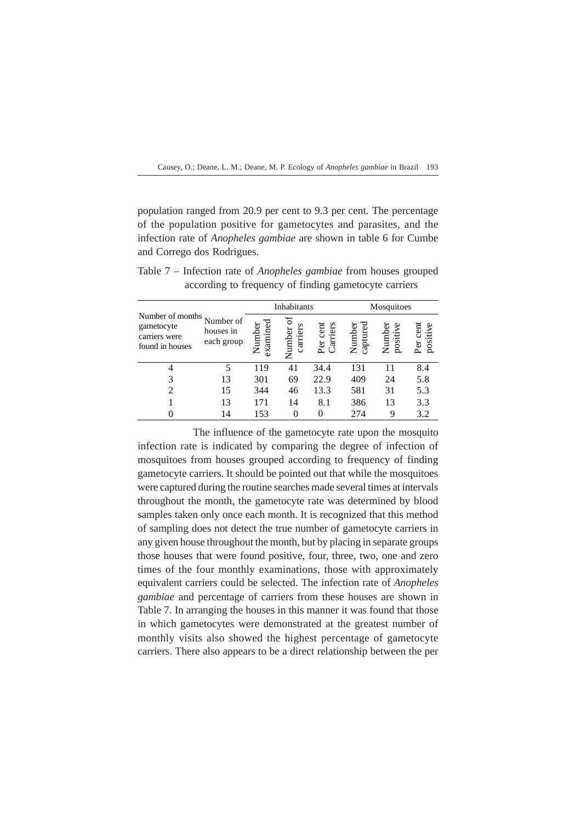population ranged from 20.9 per cent to 9.3 per cent. The percentage of the population positive for gametocytes and parasites, and the infection rate of *Anopheles gambiae* are shown in table 6 for Cumbe and Corrego dos Rodrigues.

|                                                                    |                                      |                   | Inhabitants              |                         |                    | Mosquitoes         |                      |
|--------------------------------------------------------------------|--------------------------------------|-------------------|--------------------------|-------------------------|--------------------|--------------------|----------------------|
| Number of months<br>gametocyte<br>carriers were<br>found in houses | Number of<br>houses in<br>each group | Number<br>examine | 5°<br>carriers<br>Number | Carriers<br>cent<br>Per | captured<br>Number | Number<br>positive | positive<br>æ<br>Per |
|                                                                    | 5                                    | 119               | 41                       | 34.4                    | 131                |                    | 8.4                  |
| 3                                                                  | 13                                   | 301               | 69                       | 22.9                    | 409                | 24                 | 5.8                  |
| $\overline{c}$                                                     | 15                                   | 344               | 46                       | 13.3                    | 581                | 31                 | 5.3                  |
|                                                                    | 13                                   | 171               | 14                       | 8.1                     | 386                | 13                 | 3.3                  |
|                                                                    | 14                                   | 153               |                          |                         | 274                |                    | 3.2                  |

Table 7 – Infection rate of *Anopheles gambiae* from houses grouped according to frequency of finding gametocyte carriers

The influence of the gametocyte rate upon the mosquito infection rate is indicated by comparing the degree of infection of mosquitoes from houses grouped according to frequency of finding gametocyte carriers. It should be pointed out that while the mosquitoes were captured during the routine searches made several times at intervals throughout the month, the gametocyte rate was determined by blood samples taken only once each month. It is recognized that this method of sampling does not detect the true number of gametocyte carriers in any given house throughout the month, but by placing in separate groups those houses that were found positive, four, three, two, one and zero times of the four monthly examinations, those with approximately equivalent carriers could be selected. The infection rate of *Anopheles gambiae* and percentage of carriers from these houses are shown in Table 7. In arranging the houses in this manner it was found that those in which gametocytes were demonstrated at the greatest number of monthly visits also showed the highest percentage of gametocyte carriers. There also appears to be a direct relationship between the per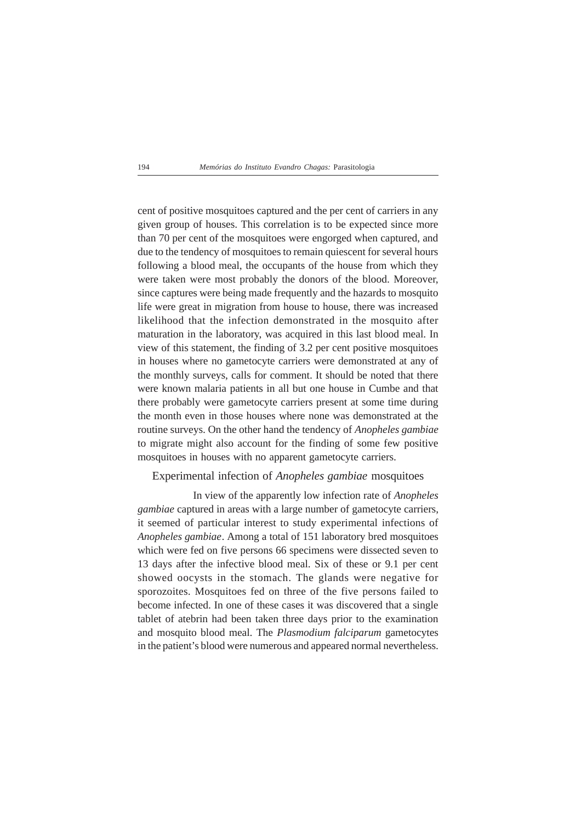cent of positive mosquitoes captured and the per cent of carriers in any given group of houses. This correlation is to be expected since more than 70 per cent of the mosquitoes were engorged when captured, and due to the tendency of mosquitoes to remain quiescent for several hours following a blood meal, the occupants of the house from which they were taken were most probably the donors of the blood. Moreover, since captures were being made frequently and the hazards to mosquito life were great in migration from house to house, there was increased likelihood that the infection demonstrated in the mosquito after maturation in the laboratory, was acquired in this last blood meal. In view of this statement, the finding of 3.2 per cent positive mosquitoes in houses where no gametocyte carriers were demonstrated at any of the monthly surveys, calls for comment. It should be noted that there were known malaria patients in all but one house in Cumbe and that there probably were gametocyte carriers present at some time during the month even in those houses where none was demonstrated at the routine surveys. On the other hand the tendency of *Anopheles gambiae* to migrate might also account for the finding of some few positive mosquitoes in houses with no apparent gametocyte carriers.

## Experimental infection of *Anopheles gambiae* mosquitoes

In view of the apparently low infection rate of *Anopheles gambiae* captured in areas with a large number of gametocyte carriers, it seemed of particular interest to study experimental infections of *Anopheles gambiae*. Among a total of 151 laboratory bred mosquitoes which were fed on five persons 66 specimens were dissected seven to 13 days after the infective blood meal. Six of these or 9.1 per cent showed oocysts in the stomach. The glands were negative for sporozoites. Mosquitoes fed on three of the five persons failed to become infected. In one of these cases it was discovered that a single tablet of atebrin had been taken three days prior to the examination and mosquito blood meal. The *Plasmodium falciparum* gametocytes in the patient's blood were numerous and appeared normal nevertheless.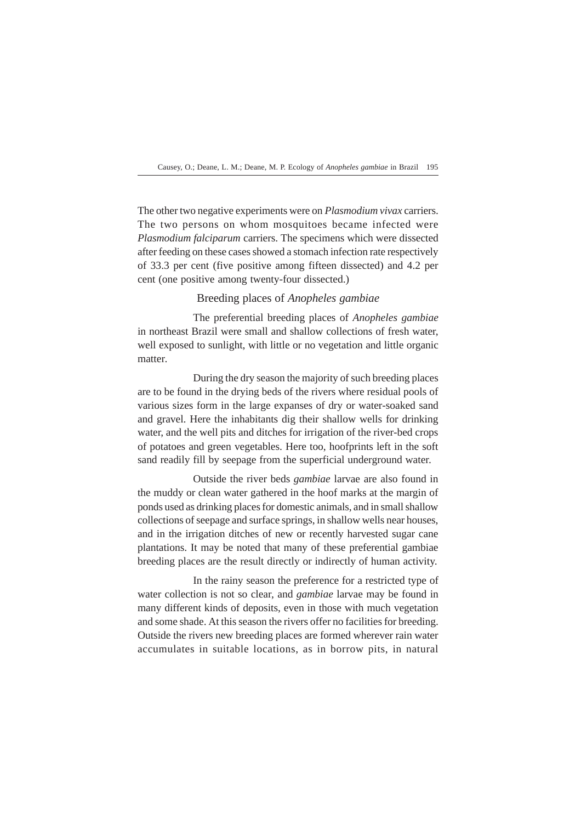The other two negative experiments were on *Plasmodium vivax* carriers. The two persons on whom mosquitoes became infected were *Plasmodium falciparum* carriers. The specimens which were dissected after feeding on these cases showed a stomach infection rate respectively of 33.3 per cent (five positive among fifteen dissected) and 4.2 per cent (one positive among twenty-four dissected.)

## Breeding places of *Anopheles gambiae*

The preferential breeding places of *Anopheles gambiae* in northeast Brazil were small and shallow collections of fresh water, well exposed to sunlight, with little or no vegetation and little organic matter.

During the dry season the majority of such breeding places are to be found in the drying beds of the rivers where residual pools of various sizes form in the large expanses of dry or water-soaked sand and gravel. Here the inhabitants dig their shallow wells for drinking water, and the well pits and ditches for irrigation of the river-bed crops of potatoes and green vegetables. Here too, hoofprints left in the soft sand readily fill by seepage from the superficial underground water.

Outside the river beds *gambiae* larvae are also found in the muddy or clean water gathered in the hoof marks at the margin of ponds used as drinking places for domestic animals, and in small shallow collections of seepage and surface springs, in shallow wells near houses, and in the irrigation ditches of new or recently harvested sugar cane plantations. It may be noted that many of these preferential gambiae breeding places are the result directly or indirectly of human activity.

In the rainy season the preference for a restricted type of water collection is not so clear, and *gambiae* larvae may be found in many different kinds of deposits, even in those with much vegetation and some shade. At this season the rivers offer no facilities for breeding. Outside the rivers new breeding places are formed wherever rain water accumulates in suitable locations, as in borrow pits, in natural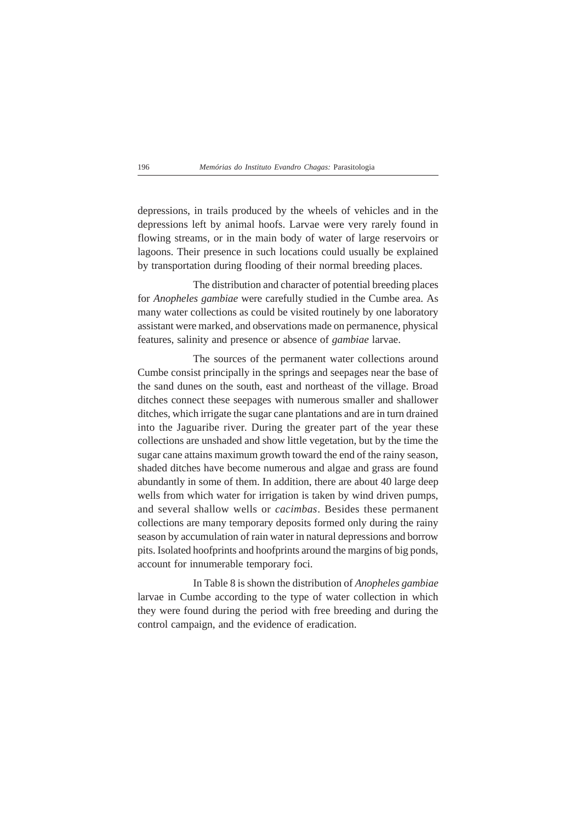depressions, in trails produced by the wheels of vehicles and in the depressions left by animal hoofs. Larvae were very rarely found in flowing streams, or in the main body of water of large reservoirs or lagoons. Their presence in such locations could usually be explained by transportation during flooding of their normal breeding places.

The distribution and character of potential breeding places for *Anopheles gambiae* were carefully studied in the Cumbe area. As many water collections as could be visited routinely by one laboratory assistant were marked, and observations made on permanence, physical features, salinity and presence or absence of *gambiae* larvae.

The sources of the permanent water collections around Cumbe consist principally in the springs and seepages near the base of the sand dunes on the south, east and northeast of the village. Broad ditches connect these seepages with numerous smaller and shallower ditches, which irrigate the sugar cane plantations and are in turn drained into the Jaguaribe river. During the greater part of the year these collections are unshaded and show little vegetation, but by the time the sugar cane attains maximum growth toward the end of the rainy season, shaded ditches have become numerous and algae and grass are found abundantly in some of them. In addition, there are about 40 large deep wells from which water for irrigation is taken by wind driven pumps, and several shallow wells or *cacimbas*. Besides these permanent collections are many temporary deposits formed only during the rainy season by accumulation of rain water in natural depressions and borrow pits. Isolated hoofprints and hoofprints around the margins of big ponds, account for innumerable temporary foci.

In Table 8 is shown the distribution of *Anopheles gambiae* larvae in Cumbe according to the type of water collection in which they were found during the period with free breeding and during the control campaign, and the evidence of eradication.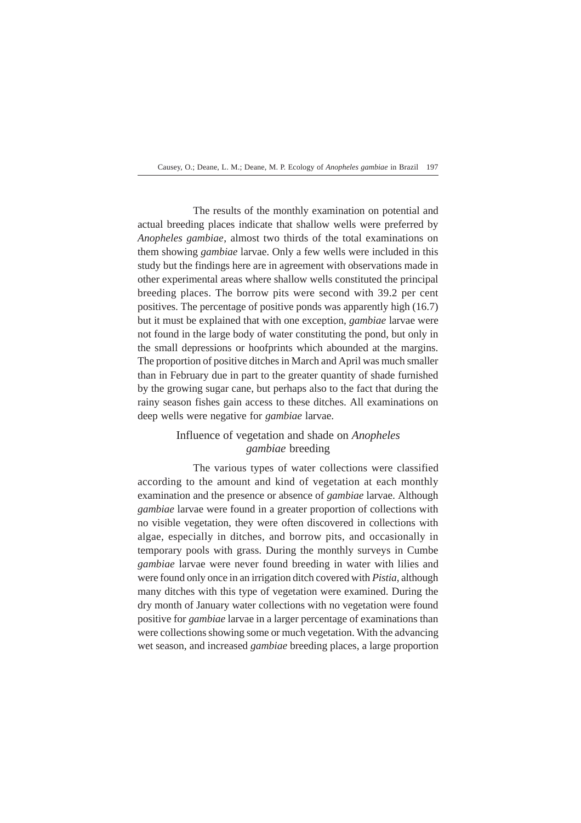The results of the monthly examination on potential and actual breeding places indicate that shallow wells were preferred by *Anopheles gambiae*, almost two thirds of the total examinations on them showing *gambiae* larvae. Only a few wells were included in this study but the findings here are in agreement with observations made in other experimental areas where shallow wells constituted the principal breeding places. The borrow pits were second with 39.2 per cent positives. The percentage of positive ponds was apparently high (16.7) but it must be explained that with one exception, *gambiae* larvae were not found in the large body of water constituting the pond, but only in the small depressions or hoofprints which abounded at the margins. The proportion of positive ditches in March and April was much smaller than in February due in part to the greater quantity of shade furnished by the growing sugar cane, but perhaps also to the fact that during the rainy season fishes gain access to these ditches. All examinations on deep wells were negative for *gambiae* larvae.

## Influence of vegetation and shade on *Anopheles gambiae* breeding

The various types of water collections were classified according to the amount and kind of vegetation at each monthly examination and the presence or absence of *gambiae* larvae. Although *gambiae* larvae were found in a greater proportion of collections with no visible vegetation, they were often discovered in collections with algae, especially in ditches, and borrow pits, and occasionally in temporary pools with grass. During the monthly surveys in Cumbe *gambiae* larvae were never found breeding in water with lilies and were found only once in an irrigation ditch covered with *Pistia*, although many ditches with this type of vegetation were examined. During the dry month of January water collections with no vegetation were found positive for *gambiae* larvae in a larger percentage of examinations than were collections showing some or much vegetation. With the advancing wet season, and increased *gambiae* breeding places, a large proportion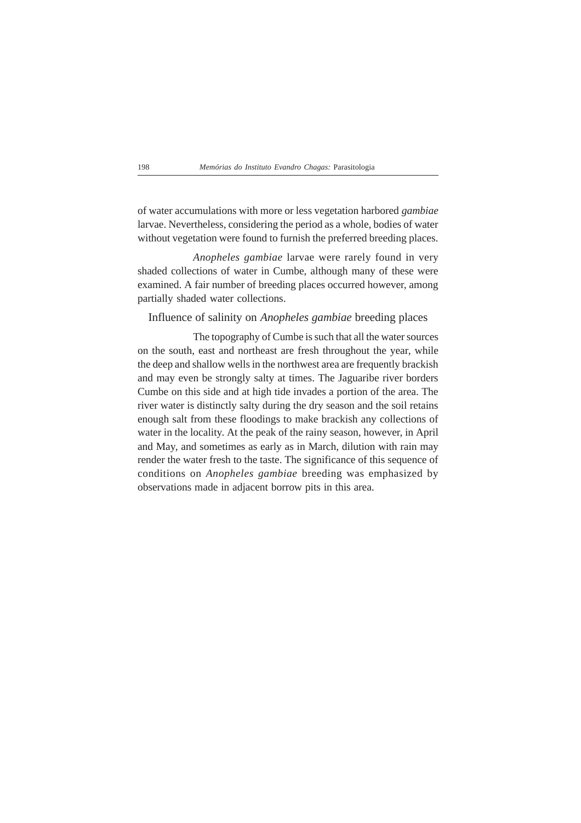of water accumulations with more or less vegetation harbored *gambiae* larvae. Nevertheless, considering the period as a whole, bodies of water without vegetation were found to furnish the preferred breeding places.

*Anopheles gambiae* larvae were rarely found in very shaded collections of water in Cumbe, although many of these were examined. A fair number of breeding places occurred however, among partially shaded water collections.

## Influence of salinity on *Anopheles gambiae* breeding places

The topography of Cumbe is such that all the water sources on the south, east and northeast are fresh throughout the year, while the deep and shallow wells in the northwest area are frequently brackish and may even be strongly salty at times. The Jaguaribe river borders Cumbe on this side and at high tide invades a portion of the area. The river water is distinctly salty during the dry season and the soil retains enough salt from these floodings to make brackish any collections of water in the locality. At the peak of the rainy season, however, in April and May, and sometimes as early as in March, dilution with rain may render the water fresh to the taste. The significance of this sequence of conditions on *Anopheles gambiae* breeding was emphasized by observations made in adjacent borrow pits in this area.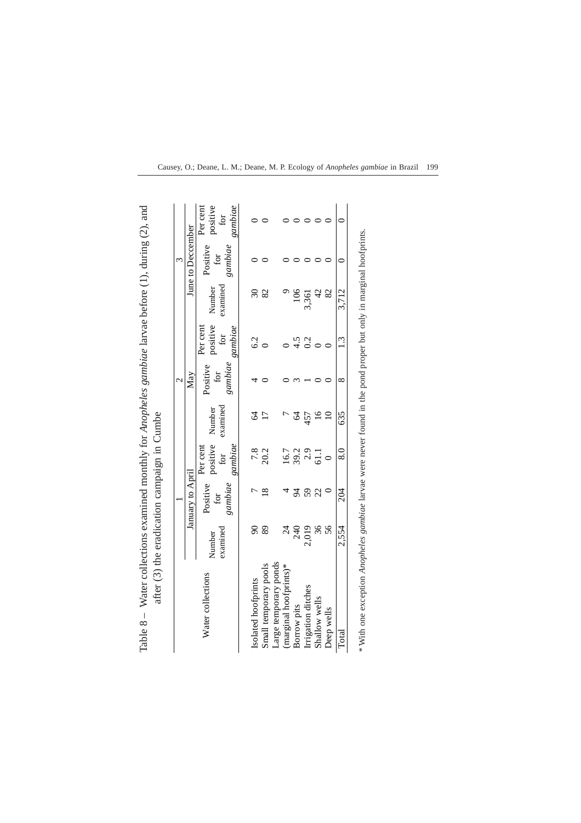| ини судат и судать со совершения и судать совершения и судать совершения совершения по совершения и судать совершения и совершения и совершения и совершения и совершения и совершения и совершения и совершения и совершения |                    |                            |                                               |                 |                            |                                        |                          |                            |                                        |
|-------------------------------------------------------------------------------------------------------------------------------------------------------------------------------------------------------------------------------|--------------------|----------------------------|-----------------------------------------------|-----------------|----------------------------|----------------------------------------|--------------------------|----------------------------|----------------------------------------|
| after (3) the eradication campaign in Cumbe                                                                                                                                                                                   |                    |                            |                                               |                 |                            |                                        |                          |                            |                                        |
|                                                                                                                                                                                                                               |                    |                            |                                               |                 |                            |                                        |                          |                            |                                        |
|                                                                                                                                                                                                                               |                    | January to April           |                                               |                 | May                        |                                        |                          | June to Deccember          |                                        |
| Water collections                                                                                                                                                                                                             | examined<br>Number | Positive<br>gambiae<br>for | positive Number<br>for<br>gambiae<br>Per cent | examined        | Positive<br>gambiae<br>for | positive<br>gambiae<br>Per cent<br>for | examined<br>Number       | Positive<br>gambiae<br>for | Per cent<br>gambiae<br>positive<br>for |
|                                                                                                                                                                                                                               |                    |                            |                                               |                 |                            |                                        |                          |                            |                                        |
| Isolated hoofprints                                                                                                                                                                                                           | $\delta$           |                            | $7.8$<br>20.2                                 | $\overline{6}$  |                            | 6.2                                    | $\overline{\mathcal{E}}$ |                            |                                        |
| Small temporary pools                                                                                                                                                                                                         | 89                 | $\frac{8}{18}$             |                                               | $\overline{17}$ |                            |                                        | 82                       |                            |                                        |
| Large temporary ponds                                                                                                                                                                                                         |                    |                            |                                               |                 |                            |                                        |                          |                            |                                        |
| (marginal hoofprints)*                                                                                                                                                                                                        | $\frac{4}{3}$      |                            |                                               |                 |                            |                                        |                          |                            |                                        |
| Borrow pits                                                                                                                                                                                                                   | 240                | 54                         |                                               |                 |                            | 4.5                                    | 106                      |                            |                                        |
| Irrigation ditches                                                                                                                                                                                                            | 2,019              | 59                         | $16.7$<br>$39.3$<br>$61.1$                    | 457             |                            | 0.2                                    | 3,361                    |                            |                                        |
| Shallow wells                                                                                                                                                                                                                 | 36                 | 22                         |                                               | 16              |                            |                                        | $\varphi$                |                            |                                        |
| Deep wells                                                                                                                                                                                                                    | 56                 |                            |                                               |                 |                            |                                        | 82                       |                            |                                        |

Table  $8 -$  Water collections examined monthly for Anopheles gambiae larvae before (1), during (2), and Table 8 – Water collections examined monthly for *Anopheles gambiae* larvae before (1), during (2), and

|  |  |  | Causey, O.; Deane, L. M.; Deane, M. P. Ecology of Anopheles gambiae in Brazil 199 |  |
|--|--|--|-----------------------------------------------------------------------------------|--|
|  |  |  |                                                                                   |  |

 $\circ$ 

 $\overline{0}$ 

3,712

 $1.3$ 

 $\overline{8}$ 

635

 $8.0$ 

204

2,554

Deep wells Total \* With one exception Anopheles gambiae larvae were never found in the pond proper but only in marginal hoofprints. larvae were never found in the pond proper but only in marginal hoofprints. *\** With one exception *Anopheles gambiae*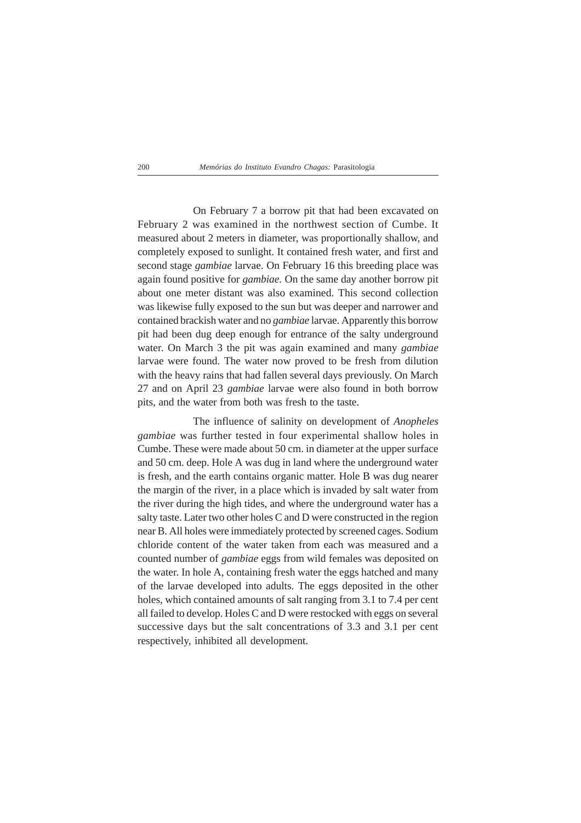On February 7 a borrow pit that had been excavated on February 2 was examined in the northwest section of Cumbe. It measured about 2 meters in diameter, was proportionally shallow, and completely exposed to sunlight. It contained fresh water, and first and second stage *gambiae* larvae. On February 16 this breeding place was again found positive for *gambiae.* On the same day another borrow pit about one meter distant was also examined. This second collection was likewise fully exposed to the sun but was deeper and narrower and contained brackish water and no *gambiae* larvae. Apparently this borrow pit had been dug deep enough for entrance of the salty underground water. On March 3 the pit was again examined and many *gambiae* larvae were found. The water now proved to be fresh from dilution with the heavy rains that had fallen several days previously. On March 27 and on April 23 *gambiae* larvae were also found in both borrow pits, and the water from both was fresh to the taste.

The influence of salinity on development of *Anopheles gambiae* was further tested in four experimental shallow holes in Cumbe. These were made about 50 cm. in diameter at the upper surface and 50 cm. deep. Hole A was dug in land where the underground water is fresh, and the earth contains organic matter. Hole B was dug nearer the margin of the river, in a place which is invaded by salt water from the river during the high tides, and where the underground water has a salty taste. Later two other holes C and D were constructed in the region near B. All holes were immediately protected by screened cages. Sodium chloride content of the water taken from each was measured and a counted number of *gambiae* eggs from wild females was deposited on the water. In hole A, containing fresh water the eggs hatched and many of the larvae developed into adults. The eggs deposited in the other holes, which contained amounts of salt ranging from 3.1 to 7.4 per cent all failed to develop. Holes C and D were restocked with eggs on several successive days but the salt concentrations of 3.3 and 3.1 per cent respectively, inhibited all development.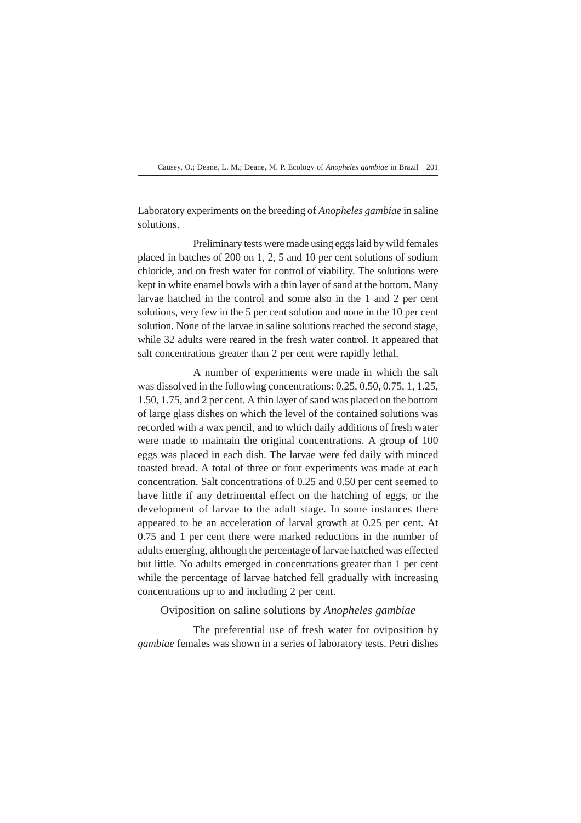Laboratory experiments on the breeding of *Anopheles gambiae* in saline solutions.

Preliminary tests were made using eggs laid by wild females placed in batches of 200 on 1, 2, 5 and 10 per cent solutions of sodium chloride, and on fresh water for control of viability. The solutions were kept in white enamel bowls with a thin layer of sand at the bottom. Many larvae hatched in the control and some also in the 1 and 2 per cent solutions, very few in the 5 per cent solution and none in the 10 per cent solution. None of the larvae in saline solutions reached the second stage, while 32 adults were reared in the fresh water control. It appeared that salt concentrations greater than 2 per cent were rapidly lethal.

A number of experiments were made in which the salt was dissolved in the following concentrations: 0.25, 0.50, 0.75, 1, 1.25, 1.50, 1.75, and 2 per cent. A thin layer of sand was placed on the bottom of large glass dishes on which the level of the contained solutions was recorded with a wax pencil, and to which daily additions of fresh water were made to maintain the original concentrations. A group of 100 eggs was placed in each dish. The larvae were fed daily with minced toasted bread. A total of three or four experiments was made at each concentration. Salt concentrations of 0.25 and 0.50 per cent seemed to have little if any detrimental effect on the hatching of eggs, or the development of larvae to the adult stage. In some instances there appeared to be an acceleration of larval growth at 0.25 per cent. At 0.75 and 1 per cent there were marked reductions in the number of adults emerging, although the percentage of larvae hatched was effected but little. No adults emerged in concentrations greater than 1 per cent while the percentage of larvae hatched fell gradually with increasing concentrations up to and including 2 per cent.

Oviposition on saline solutions by *Anopheles gambiae*

The preferential use of fresh water for oviposition by *gambiae* females was shown in a series of laboratory tests. Petri dishes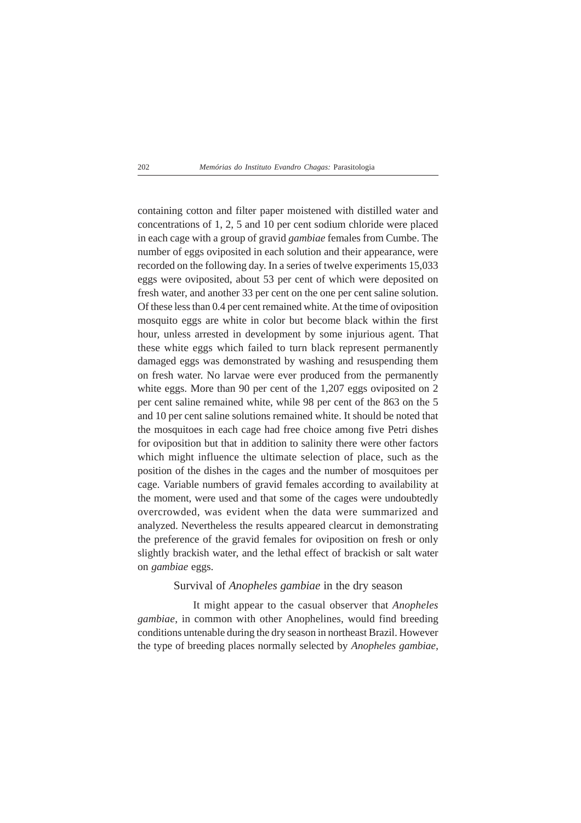containing cotton and filter paper moistened with distilled water and concentrations of 1, 2, 5 and 10 per cent sodium chloride were placed in each cage with a group of gravid *gambiae* females from Cumbe. The number of eggs oviposited in each solution and their appearance, were recorded on the following day. In a series of twelve experiments 15,033 eggs were oviposited, about 53 per cent of which were deposited on fresh water, and another 33 per cent on the one per cent saline solution. Of these less than 0.4 per cent remained white. At the time of oviposition mosquito eggs are white in color but become black within the first hour, unless arrested in development by some injurious agent. That these white eggs which failed to turn black represent permanently damaged eggs was demonstrated by washing and resuspending them on fresh water. No larvae were ever produced from the permanently white eggs. More than 90 per cent of the 1,207 eggs oviposited on 2 per cent saline remained white, while 98 per cent of the 863 on the 5 and 10 per cent saline solutions remained white. It should be noted that the mosquitoes in each cage had free choice among five Petri dishes for oviposition but that in addition to salinity there were other factors which might influence the ultimate selection of place, such as the position of the dishes in the cages and the number of mosquitoes per cage. Variable numbers of gravid females according to availability at the moment, were used and that some of the cages were undoubtedly overcrowded, was evident when the data were summarized and analyzed. Nevertheless the results appeared clearcut in demonstrating the preference of the gravid females for oviposition on fresh or only slightly brackish water, and the lethal effect of brackish or salt water on *gambiae* eggs.

## Survival of *Anopheles gambiae* in the dry season

It might appear to the casual observer that *Anopheles gambiae*, in common with other Anophelines, would find breeding conditions untenable during the dry season in northeast Brazil. However the type of breeding places normally selected by *Anopheles gambiae,*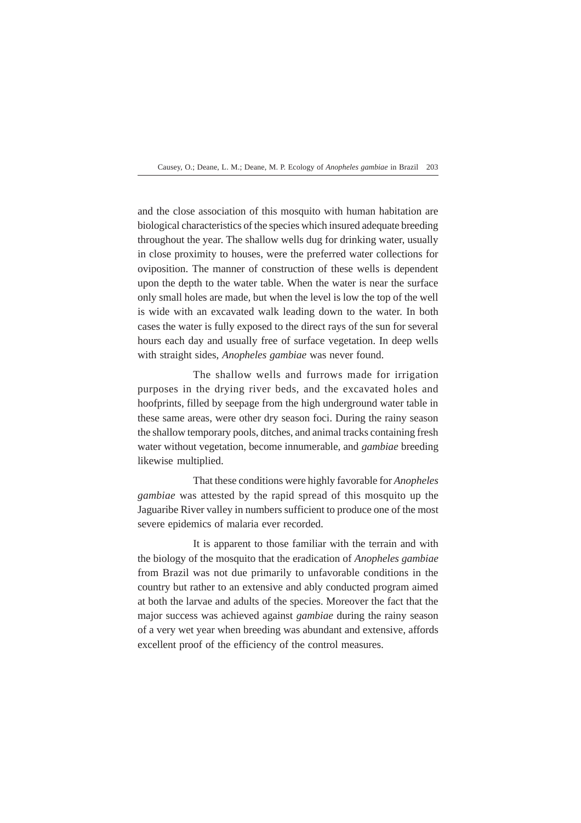and the close association of this mosquito with human habitation are biological characteristics of the species which insured adequate breeding throughout the year. The shallow wells dug for drinking water, usually in close proximity to houses, were the preferred water collections for oviposition. The manner of construction of these wells is dependent upon the depth to the water table. When the water is near the surface only small holes are made, but when the level is low the top of the well is wide with an excavated walk leading down to the water. In both cases the water is fully exposed to the direct rays of the sun for several hours each day and usually free of surface vegetation. In deep wells with straight sides, *Anopheles gambiae* was never found.

The shallow wells and furrows made for irrigation purposes in the drying river beds, and the excavated holes and hoofprints, filled by seepage from the high underground water table in these same areas, were other dry season foci. During the rainy season the shallow temporary pools, ditches, and animal tracks containing fresh water without vegetation, become innumerable, and *gambiae* breeding likewise multiplied.

That these conditions were highly favorable for *Anopheles gambiae* was attested by the rapid spread of this mosquito up the Jaguaribe River valley in numbers sufficient to produce one of the most severe epidemics of malaria ever recorded.

It is apparent to those familiar with the terrain and with the biology of the mosquito that the eradication of *Anopheles gambiae* from Brazil was not due primarily to unfavorable conditions in the country but rather to an extensive and ably conducted program aimed at both the larvae and adults of the species. Moreover the fact that the major success was achieved against *gambiae* during the rainy season of a very wet year when breeding was abundant and extensive, affords excellent proof of the efficiency of the control measures.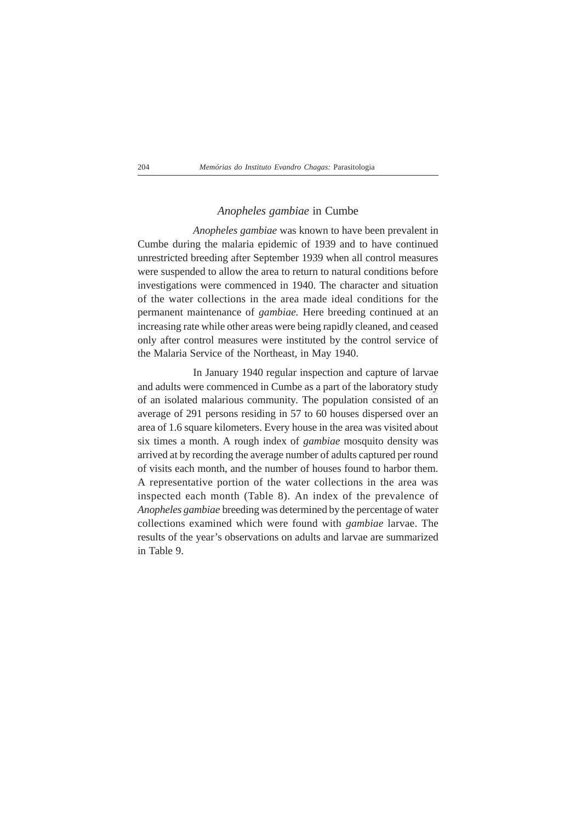## *Anopheles gambiae* in Cumbe

*Anopheles gambiae* was known to have been prevalent in Cumbe during the malaria epidemic of 1939 and to have continued unrestricted breeding after September 1939 when all control measures were suspended to allow the area to return to natural conditions before investigations were commenced in 1940. The character and situation of the water collections in the area made ideal conditions for the permanent maintenance of *gambiae.* Here breeding continued at an increasing rate while other areas were being rapidly cleaned, and ceased only after control measures were instituted by the control service of the Malaria Service of the Northeast, in May 1940.

In January 1940 regular inspection and capture of larvae and adults were commenced in Cumbe as a part of the laboratory study of an isolated malarious community. The population consisted of an average of 291 persons residing in 57 to 60 houses dispersed over an area of 1.6 square kilometers. Every house in the area was visited about six times a month. A rough index of *gambiae* mosquito density was arrived at by recording the average number of adults captured per round of visits each month, and the number of houses found to harbor them. A representative portion of the water collections in the area was inspected each month (Table 8). An index of the prevalence of *Anopheles gambiae* breeding was determined by the percentage of water collections examined which were found with *gambiae* larvae. The results of the year's observations on adults and larvae are summarized in Table 9.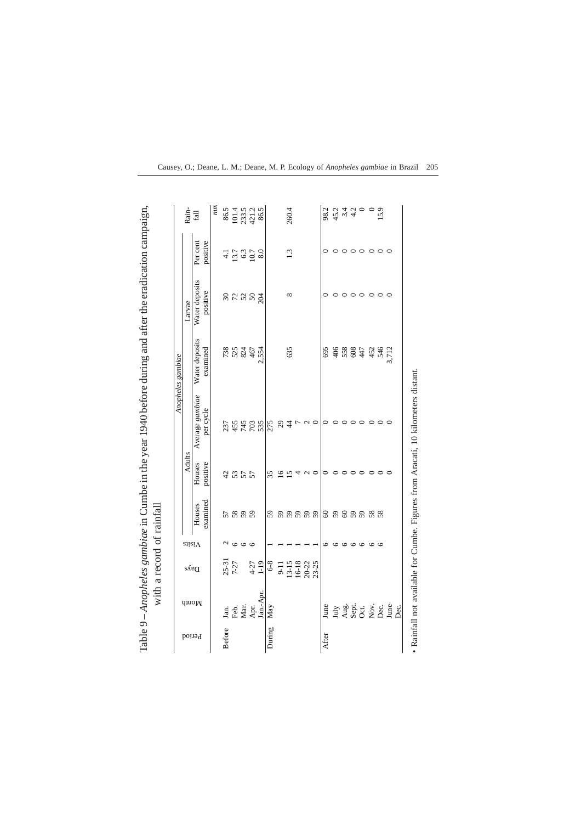|               |                        |                                          |                     |                    |                    |                              | Anopheles gambiae          |                            |                                    |                                                                                   |
|---------------|------------------------|------------------------------------------|---------------------|--------------------|--------------------|------------------------------|----------------------------|----------------------------|------------------------------------|-----------------------------------------------------------------------------------|
|               |                        |                                          | $s$ iisi $\Lambda$  |                    | Adults             |                              |                            | Larvae                     |                                    | Rain-                                                                             |
| Period        | <b>quo<sub>N</sub></b> | $\delta \delta \epsilon$                 |                     | examined<br>Houses | Houses<br>positive | Average gambiae<br>per cycle | Water deposits<br>examined | Water deposits<br>positive | positive<br>Per cent               | fall                                                                              |
|               |                        |                                          |                     |                    |                    |                              |                            |                            |                                    | mn                                                                                |
| <b>Before</b> | Jan.                   |                                          | N                   |                    |                    | 237                          |                            |                            | $-1$                               | 86.5                                                                              |
|               | Feb.                   | $25-31$<br>7-27                          |                     | 5888               | 4355               |                              | <b>7883467</b>             | 28222                      |                                    |                                                                                   |
|               | Mar.                   |                                          | $\circ \circ \circ$ |                    |                    |                              |                            |                            |                                    |                                                                                   |
|               | Apr.                   | $4 - 27$<br>1-19                         |                     |                    |                    | 458725                       |                            |                            | $13.7$<br>$0.3$<br>$10.7$<br>$8.0$ | $\frac{4}{2}$<br>$\frac{3}{2}$<br>$\frac{3}{4}$<br>$\frac{3}{8}$<br>$\frac{3}{8}$ |
|               | Jan.-Apr               |                                          |                     |                    |                    |                              | 2,554                      |                            |                                    |                                                                                   |
| During        | May                    | $6-8$                                    |                     | 59                 | 35                 |                              |                            |                            |                                    |                                                                                   |
|               |                        | $9 - 11$                                 |                     |                    | $\overline{16}$    |                              |                            |                            |                                    |                                                                                   |
|               |                        | $13-15$<br>$16-18$<br>$20-22$<br>$23-25$ |                     | 88888              | $\overline{15}$    | 84                           | 635                        | $\infty$                   | 1.3                                | 260.4                                                                             |
|               |                        |                                          |                     |                    |                    |                              |                            |                            |                                    |                                                                                   |
|               |                        |                                          |                     |                    | $\mathcal{L}$      |                              |                            |                            |                                    |                                                                                   |
|               |                        |                                          |                     |                    |                    | $\sim$                       |                            |                            |                                    |                                                                                   |
| After         | June                   |                                          |                     | $\mbox{6}$         |                    |                              | 695                        |                            |                                    | 98.2                                                                              |
|               |                        |                                          |                     | 888888             |                    |                              |                            |                            |                                    |                                                                                   |
|               |                        |                                          |                     |                    | っ                  |                              |                            |                            | $\circ$                            |                                                                                   |
|               |                        |                                          |                     |                    | っ                  | $\circ$                      |                            |                            | $\circ$                            | $44 u + 4 u$<br>$4 u + 4 u$                                                       |
|               | July<br>Aug.<br>Oct.   |                                          |                     |                    | ≏                  | $\circ$                      | $\frac{488}{38847}$        |                            |                                    |                                                                                   |
|               | Nον.                   |                                          | $\circ$             |                    | $\circ$            | $\circ$                      | 452                        | $\circ$                    |                                    |                                                                                   |
|               | Dec.                   |                                          | $\circ$             |                    | $\circ$            | $\circ$                      | 546<br>3,712               | $\circ$                    | $\circ \circ \circ$                | 15.9                                                                              |
|               | June-<br>Dec.          |                                          |                     |                    |                    |                              |                            |                            |                                    |                                                                                   |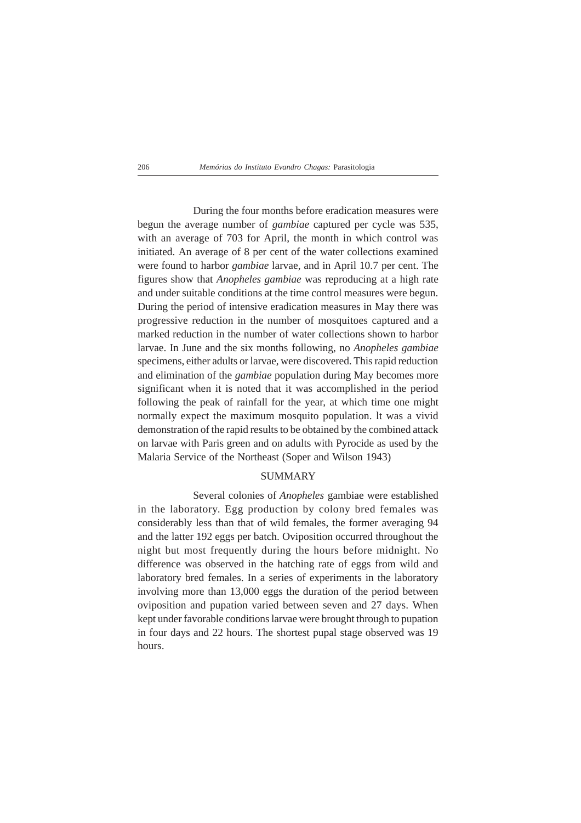During the four months before eradication measures were begun the average number of *gambiae* captured per cycle was 535, with an average of 703 for April, the month in which control was initiated. An average of 8 per cent of the water collections examined were found to harbor *gambiae* larvae, and in April 10.7 per cent. The figures show that *Anopheles gambiae* was reproducing at a high rate and under suitable conditions at the time control measures were begun. During the period of intensive eradication measures in May there was progressive reduction in the number of mosquitoes captured and a marked reduction in the number of water collections shown to harbor larvae. In June and the six months following, no *Anopheles gambiae* specimens, either adults or larvae, were discovered. This rapid reduction and elimination of the *gambiae* population during May becomes more significant when it is noted that it was accomplished in the period following the peak of rainfall for the year, at which time one might normally expect the maximum mosquito population. lt was a vivid demonstration of the rapid results to be obtained by the combined attack on larvae with Paris green and on adults with Pyrocide as used by the Malaria Service of the Northeast (Soper and Wilson 1943)

## SUMMARY

Several colonies of *Anopheles* gambiae were established in the laboratory. Egg production by colony bred females was considerably less than that of wild females, the former averaging 94 and the latter 192 eggs per batch. Oviposition occurred throughout the night but most frequently during the hours before midnight. No difference was observed in the hatching rate of eggs from wild and laboratory bred females. In a series of experiments in the laboratory involving more than 13,000 eggs the duration of the period between oviposition and pupation varied between seven and 27 days. When kept under favorable conditions larvae were brought through to pupation in four days and 22 hours. The shortest pupal stage observed was 19 hours.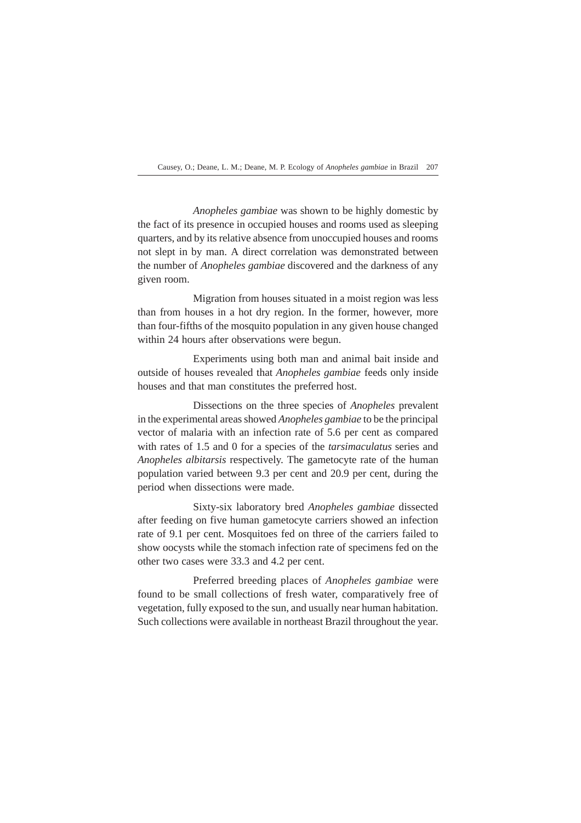*Anopheles gambiae* was shown to be highly domestic by the fact of its presence in occupied houses and rooms used as sleeping quarters, and by its relative absence from unoccupied houses and rooms not slept in by man. A direct correlation was demonstrated between the number of *Anopheles gambiae* discovered and the darkness of any given room.

Migration from houses situated in a moist region was less than from houses in a hot dry region. In the former, however, more than four-fifths of the mosquito population in any given house changed within 24 hours after observations were begun.

Experiments using both man and animal bait inside and outside of houses revealed that *Anopheles gambiae* feeds only inside houses and that man constitutes the preferred host.

Dissections on the three species of *Anopheles* prevalent in the experimental areas showed *Anopheles gambiae* to be the principal vector of malaria with an infection rate of 5.6 per cent as compared with rates of 1.5 and 0 for a species of the *tarsimaculatus* series and *Anopheles albitarsis* respectively. The gametocyte rate of the human population varied between 9.3 per cent and 20.9 per cent, during the period when dissections were made.

Sixty-six laboratory bred *Anopheles gambiae* dissected after feeding on five human gametocyte carriers showed an infection rate of 9.1 per cent. Mosquitoes fed on three of the carriers failed to show oocysts while the stomach infection rate of specimens fed on the other two cases were 33.3 and 4.2 per cent.

Preferred breeding places of *Anopheles gambiae* were found to be small collections of fresh water, comparatively free of vegetation, fully exposed to the sun, and usually near human habitation. Such collections were available in northeast Brazil throughout the year.